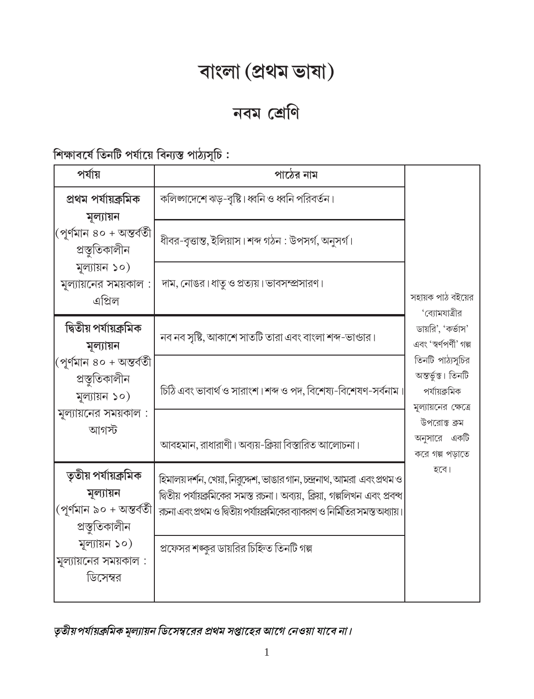# বাংলা (প্ৰথম ভাষা)

# নবম শ্ৰেণি

শিক্ষাবর্ষে তিনটি পর্যায়ে বিন্যস্ত পাঠ্যসূচি :

| পর্যায়                                                                           | পাঠের নাম                                                                                                                                                                                                                             |                                                                                 |
|-----------------------------------------------------------------------------------|---------------------------------------------------------------------------------------------------------------------------------------------------------------------------------------------------------------------------------------|---------------------------------------------------------------------------------|
| প্ৰথম পৰ্যায়ক্ৰমিক<br>মূল্যায়ন                                                  | কলিঙ্গদেশে ঝড়-বৃষ্টি। ধ্বনি ও ধ্বনি পরিবর্তন।                                                                                                                                                                                        |                                                                                 |
| (পূৰ্ণমান ৪০ + অন্তৰ্বৰ্তী<br>প্ৰস্তুতিকালীন                                      | ধীবর-বৃত্তান্ত, ইলিয়াস।শব্দ গঠন : উপসর্গ, অনুসর্গ।                                                                                                                                                                                   |                                                                                 |
| মূল্যায়ন ১০)<br>মূল্যায়নের সময়কাল:<br>এপ্রিল                                   | দাম, নোঙর । ধাতু ও প্রত্যয় । ভাবসম্প্রসারণ ।                                                                                                                                                                                         | সহায়ক পাঠ বইয়ের<br>'ব্যোমযাত্রীর                                              |
| দ্বিতীয় পৰ্যায়ক্ৰমিক<br>মূল্যায়ন                                               | নব নব সৃষ্টি, আকাশে সাতটি তারা এবং বাংলা শব্দ-ভাঙ্যর।                                                                                                                                                                                 | ডায়রি', 'কর্ভাস'<br>এবং 'স্বৰ্ণপৰ্ণী' গল্প                                     |
| (পূৰ্ণমান ৪০ + অন্তৰ্বৰ্তী<br>প্ৰস্তুতিকালীন<br>মূল্যায়ন ১০)                     | চিঠি এবং ভাবার্থ ও সারাংশ।শব্দ ও পদ, বিশেষ্য-বিশেষণ-সর্বনাম।                                                                                                                                                                          | তিনটি পাঠ্যসূচির<br>অন্তৰ্ভুক্ত। তিনটি<br>পর্যায়ক্রমিক<br>মূল্যায়নের ক্ষেত্রে |
| মূল্যায়নের সময়কাল :<br>আগস্ট                                                    | আবহমান, রাধারাণী। অব্যয়-ক্রিয়া বিস্তারিত আলোচনা।                                                                                                                                                                                    | উপরোক্ত ক্রম<br>অনুসারে একটি<br>করে গল্প পড়াতে                                 |
| তৃতীয় পৰ্যায়ক্ৰমিক<br>মূল্যায়ন<br>(পূৰ্ণমান ৯০ + অন্তৰ্বৰ্তী<br>প্ৰস্তুতিকালীন | হিমালয় দর্শন, খেয়া, নিরুদ্দেশ, ভাঙার গান, চন্দ্রনাথ, আমরা এবং প্রথম ও<br>দ্বিতীয় পর্যায়ক্রমিকের সমস্ত রচনা। অব্যয়, ক্রিয়া, গল্পলিখন এবং প্রবন্ধ<br>রচনা এবং প্রথম ও দ্বিতীয় পর্যায়ক্রমিকের ব্যাকরণ ও নির্মিতির সমস্ত অধ্যায়। | হবে।                                                                            |
| মূল্যায়ন ১০)<br>মূল্যায়নের সময়কাল :<br>ডিসেম্বর                                | প্রফেসর শঙ্কুর ডায়রির চিহ্নিত তিনটি গল্প                                                                                                                                                                                             |                                                                                 |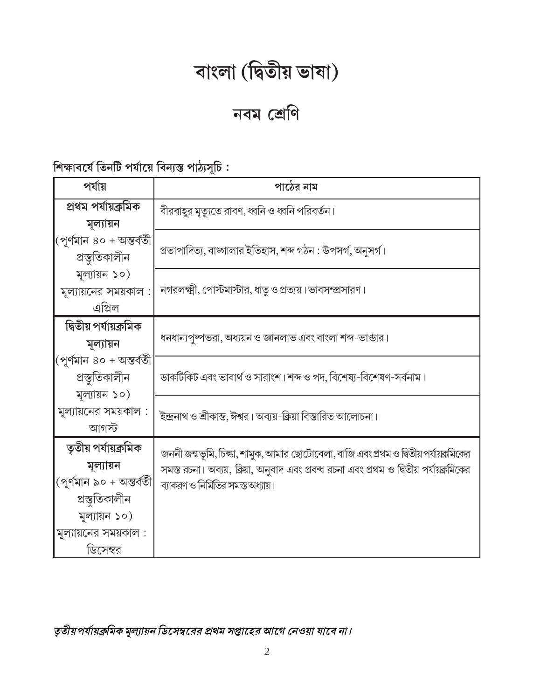# বাংলা (দ্বিতীয় ভাষা)

# নবম শ্ৰেণি

# শিক্ষাবর্ষে তিনটি পর্যায়ে বিন্যস্ত পাঠ্যসূচি :

| পৰ্যায়                                                                           | পাঠের নাম                                                                                                                                                                                                                 |
|-----------------------------------------------------------------------------------|---------------------------------------------------------------------------------------------------------------------------------------------------------------------------------------------------------------------------|
| প্ৰথম পৰ্যায়ক্ৰমিক<br>মূল্যায়ন                                                  | বীরবাহুর মৃত্যুতে রাবণ, ধ্বনি ও ধ্বনি পরিবর্তন।                                                                                                                                                                           |
| (পূৰ্ণমান ৪০ + অন্তৰ্বৰ্তী<br>প্ৰস্তুতিকালীন                                      | প্রতাপাদিত্য, বাঙ্গালার ইতিহাস, শব্দ গঠন : উপসর্গ, অনুসর্গ।                                                                                                                                                               |
| মূল্যায়ন ১০)<br>মূল্যায়নের সময়কাল:<br>এপ্রিল                                   | নগরলক্ষ্মী, পোস্টমাস্টার, ধাতু ও প্রত্যয়।ভাবসম্প্রসারণ।                                                                                                                                                                  |
| দ্বিতীয় পৰ্যায়ক্ৰমিক<br>মূল্যায়ন                                               | ধনধান্যপুষ্পভরা, অধ্যয়ন ও জ্ঞানলাভ এবং বাংলা শব্দ-ভাঙার।                                                                                                                                                                 |
| (পূৰ্ণমান ৪০ + অন্তৰ্বৰ্তী<br>প্ৰস্তৃতিকালীন<br>মূল্যায়ন ১০)                     | ডাকটিকিট এবং ভাবার্থ ও সারাংশ। শব্দ ও পদ, বিশেষ্য-বিশেষণ-সর্বনাম।                                                                                                                                                         |
| মূল্যায়নের সময়কাল :<br>আগস্ট                                                    | ইন্দ্রনাথ ও শ্রীকান্ত, ঈশ্বর। অব্যয়-ক্রিয়া বিস্তারিত আলোচনা।                                                                                                                                                            |
| তৃতীয় পৰ্যায়ক্ৰমিক<br>মূল্যায়ন<br>(পূৰ্ণমান ৯০ + অন্তৰ্বৰ্তী<br>প্ৰস্তুতিকালীন | জননী জন্মভূমি, চিল্কা, শামুক, আমার ছোটোবেলা, বাজি এবং প্রথম ও দ্বিতীয় পর্যায়ক্রমিকের<br>সমস্ত রচনা। অব্যয়, ক্রিয়া, অনুবাদ এবং প্রবন্থ রচনা এবং প্রথম ও দ্বিতীয় পর্যায়ক্রমিকের<br>ব্যাকরণ ও নির্মিতির সমস্ত অধ্যায়। |
| মূল্যায়ন ১০)<br>মূল্যায়নের সময়কাল :<br>ডিসেম্বর                                |                                                                                                                                                                                                                           |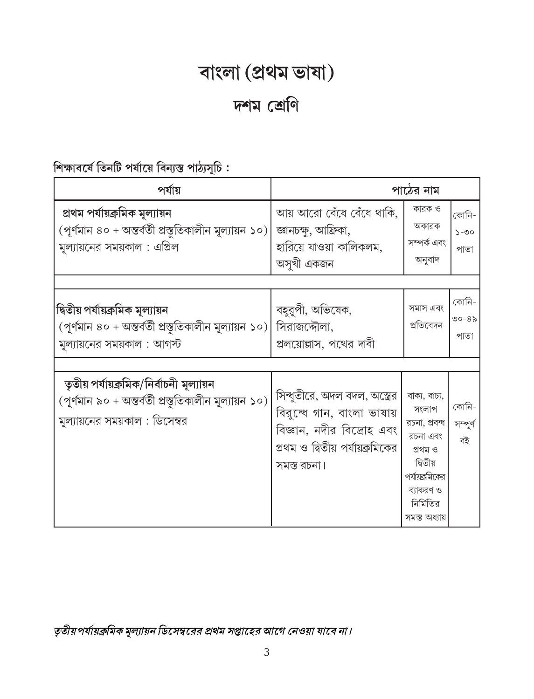# বাংলা (প্ৰথম ভাষা)

# দশম শ্রেণি

শিক্ষাবর্ষে তিনটি পর্যায়ে বিন্যস্ত পাঠ্যসূচি :

| পৰ্যায়                                                                                                                               |                                                                                                                                             | পাঠের নাম                                                                                                                                                           |  |
|---------------------------------------------------------------------------------------------------------------------------------------|---------------------------------------------------------------------------------------------------------------------------------------------|---------------------------------------------------------------------------------------------------------------------------------------------------------------------|--|
| প্ৰথম পৰ্যায়ক্ৰমিক মূল্যায়ন<br>$($ পূর্ণমান ৪০ + অন্তর্বর্তী প্রস্তুতিকালীন মূল্যায়ন ১০)<br>মূল্যায়নের সময়কাল : এপ্রিল           | আয় আরো বেঁধে বেঁধে থাকি,<br>জ্ঞানচক্ষু, আফ্রিকা,<br>হারিয়ে যাওয়া কালিকলম,<br>অসুখী একজন                                                  | কারক ও<br>কোনি-<br>অকারক<br>$00-\zeta$<br>সম্পৰ্ক এবং<br>পাতা<br>অনুবাদ                                                                                             |  |
| দ্বিতীয় পর্যায়ক্রমিক মূল্যায়ন<br>$($ পূর্ণমান ৪০ + অন্তর্বর্তী প্রস্তৃতিকালীন মূল্যায়ন ১০) $ $<br>মূল্যায়নের সময়কাল : আগস্ট     | বহুরূপী, অভিষেক,<br>সিরাজদ্দৌলা,<br>প্রলয়োল্লাস, পথের দাবী                                                                                 | কোনি-<br>সমাস এবং<br>৩০-৪৯<br>প্ৰতিবেদন<br>পাতা                                                                                                                     |  |
| তৃতীয় পৰ্যায়ক্ৰমিক/নিৰ্বাচনী মূল্যায়ন<br>(পূর্ণমান ৯০ + অন্তর্বর্তী প্রস্তুতিকালীন মূল্যায়ন ১০)<br>মূল্যায়নের সময়কাল : ডিসেম্বর | সিন্খুতীরে, অদল বদল, অস্ত্রের<br>বিরুক্খে গান, বাংলা ভাষায়<br>বিজ্ঞান, নদীর বিদ্রোহ এবং<br>প্রথম ও দ্বিতীয় পর্যায়ক্রমিকের<br>সমস্ত রচনা। | বাক্য, বাচ্য,<br>কোনি-<br>সংলাপ<br>রচনা, প্রবন্ধ<br>সম্পূৰ্ণ<br>রচনা এবং<br>বই<br>প্ৰথম ও<br>দ্বিতীয়<br>পর্যায়ক্রমিকের<br>ব্যাকরণ ও<br>নিৰ্মিতির<br>সমস্ত অধ্যায় |  |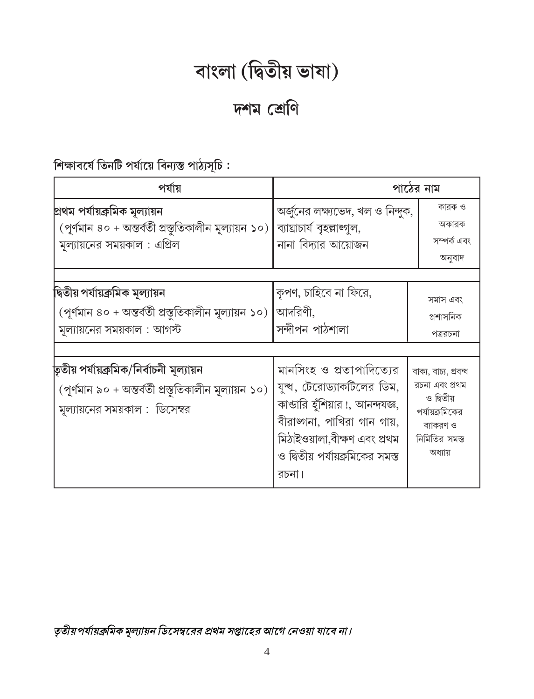# বাংলা (দিতীয় ভাষা)

# দশম শ্রেণি

শিক্ষাবৰ্ষে তিনটি পৰ্যায়ে বিন্যস্ত পাঠ্যসূচি :

| পর্যায়                                                                                                                               |                                                                                                                                                                                                        | পাঠের নাম                                                                                                           |
|---------------------------------------------------------------------------------------------------------------------------------------|--------------------------------------------------------------------------------------------------------------------------------------------------------------------------------------------------------|---------------------------------------------------------------------------------------------------------------------|
| প্ৰথম পৰ্যায়ক্ৰমিক মূল্যায়ন<br>(পূর্ণমান ৪০ + অন্তর্বর্তী প্রস্তুতিকালীন মূল্যায়ন ১০)<br>মূল্যায়নের সময়কাল : এপ্রিল              | অর্জুনের লক্ষ্যভেদ, খল ও নিন্দুক,<br>ব্যাঘাচার্য বৃহল্লাজ্গুল,<br>নানা বিদ্যার আয়োজন                                                                                                                  | কারক ও<br>অকারক<br>সম্পৰ্ক এবং<br>অনুবাদ                                                                            |
| দ্বিতীয় পৰ্যায়ক্ৰমিক মূল্যায়ন<br>(পূর্ণমান ৪০ + অন্তর্বর্তী প্রস্তুতিকালীন মূল্যায়ন ১০)<br>মূল্যায়নের সময়কাল : আগস্ট            | কৃপণ, চাহিবে না ফিরে,<br>আদরিণী,<br>সন্দীপন পাঠশালা                                                                                                                                                    | সমাস এবং<br>প্ৰশাসনিক<br>পত্ররচনা                                                                                   |
| তৃতীয় পৰ্যায়ক্ৰমিক/নিৰ্বাচনী মূল্যায়ন<br>(পূর্ণমান ৯০ + অন্তর্বর্তী প্রস্তুতিকালীন মূল্যায়ন ১০)<br>মূল্যায়নের সময়কাল : ডিসেম্বর | মানসিংহ ও প্রতাপাদিত্যের<br>যুন্ধ, টেরোড্যাকটিলের ডিম,<br>কান্ডারি হুঁশিয়ার !, আনন্দযজ্ঞ,<br>বীরাঙ্গনা, পাখিরা গান গায়,<br>মিঠাইওয়ালা,বীক্ষণ এবং প্রথম<br>ও দ্বিতীয় পর্যায়ক্রমিকের সমস্ত<br>রচনা। | বাক্য, বাচ্য, প্ৰবন্ধ<br>রচনা এবং প্রথম<br>ও দ্বিতীয়<br>পর্যায়ক্রমিকের<br>ব্যাকরণ ও<br>নিৰ্মিতির সমস্ত<br>অধ্যায় |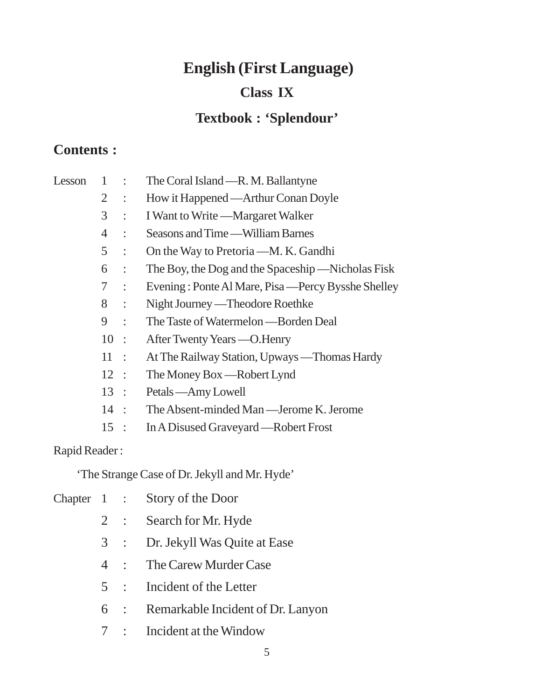# **English (First Language)**

# **Class IX**

# **Textbook : 'Splendour'**

# **Contents :**

| Lesson | 1              | ÷                    | The Coral Island — R. M. Ballantyne               |
|--------|----------------|----------------------|---------------------------------------------------|
|        | $\overline{2}$ | ÷                    | How it Happened — Arthur Conan Doyle              |
|        | 3              | ÷                    | I Want to Write — Margaret Walker                 |
|        | 4              | $\ddot{\cdot}$       | Seasons and Time — William Barnes                 |
|        | 5              | ÷                    | On the Way to Pretoria —M. K. Gandhi              |
|        | 6              | $\ddot{\phantom{a}}$ | The Boy, the Dog and the Spaceship —Nicholas Fisk |
|        | 7              | ÷                    | Evening: Ponte Al Mare, Pisa—Percy Bysshe Shelley |
|        | 8              | ÷                    | Night Journey — Theodore Roethke                  |
|        | 9              | $\ddot{\cdot}$       | The Taste of Watermelon — Borden Deal             |
|        | 10:            |                      | After Twenty Years — O. Henry                     |
|        | $11$ :         |                      | At The Railway Station, Upways — Thomas Hardy     |
|        | $12$ :         |                      | The Money Box — Robert Lynd                       |
|        | $13$ :         |                      | Petals — Amy Lowell                               |
|        | $14$ :         |                      | The Absent-minded Man—Jerome K. Jerome            |
|        | 15             | $\mathbb{R}^2$       | In A Disused Graveyard — Robert Frost             |
|        |                |                      |                                                   |

Rapid Reader :

'The Strange Case of Dr. Jekyll and Mr. Hyde'

|  | Chapter 1 : Story of the Door         |
|--|---------------------------------------|
|  | 2 : Search for Mr. Hyde               |
|  | 3 : Dr. Jekyll Was Quite at Ease      |
|  | 4 : The Carew Murder Case             |
|  | 5 : Incident of the Letter            |
|  | 6 : Remarkable Incident of Dr. Lanyon |
|  | 7 : Incident at the Window            |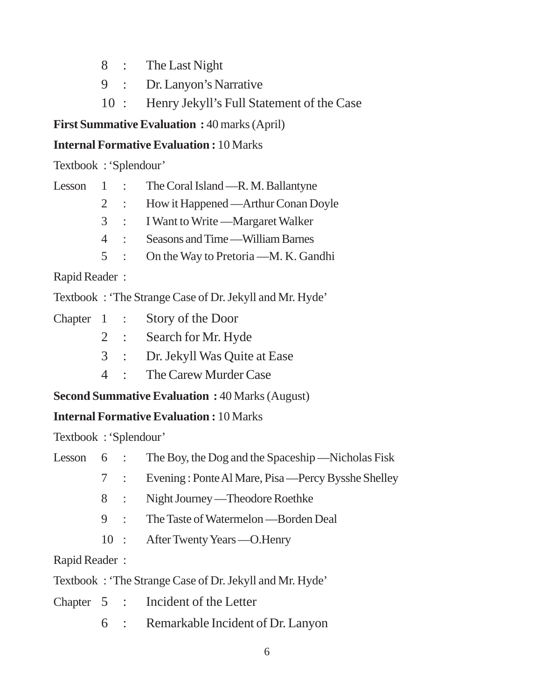- 8 : The Last Night
- 9 : Dr. Lanyon's Narrative
- 10 : Henry Jekyll's Full Statement of the Case

**First Summative Evaluation :** 40 marks (April)

#### **Internal Formative Evaluation :** 10 Marks

Textbook : 'Splendour'

|  |    | Lesson $1$ : The Coral Island — R. M. Ballantyne |
|--|----|--------------------------------------------------|
|  |    | 2 : How it Happened — Arthur Conan Doyle         |
|  |    | 3 : I Want to Write — Margaret Walker            |
|  | 4: | Seasons and Time — William Barnes                |
|  |    | 5 : On the Way to Pretoria —M. K. Gandhi         |

Rapid Reader :

Textbook : 'The Strange Case of Dr. Jekyll and Mr. Hyde'

|  | Chapter 1 : Story of the Door                       |
|--|-----------------------------------------------------|
|  | $\mathcal{C}_{\text{comb}}$ for $M_{\text{u}}$ Hyde |

- 2 : Search for Mr. Hyde
- 3 : Dr. Jekyll Was Quite at Ease
- 4 : The Carew Murder Case

**Second Summative Evaluation :** 40 Marks (August)

#### **Internal Formative Evaluation :** 10 Marks

Textbook : 'Splendour'

| Lesson 6 |  |  | The Boy, the Dog and the Spaceship — Nicholas Fisk |
|----------|--|--|----------------------------------------------------|
|----------|--|--|----------------------------------------------------|

- 7 : Evening : Ponte Al Mare, Pisa —Percy Bysshe Shelley
- 8 : Night Journey —Theodore Roethke
- 9 : The Taste of Watermelon —Borden Deal
- 10 : After Twenty Years O. Henry

Rapid Reader :

- Textbook : 'The Strange Case of Dr. Jekyll and Mr. Hyde'
- Chapter 5 : Incident of the Letter
	- 6 : Remarkable Incident of Dr. Lanyon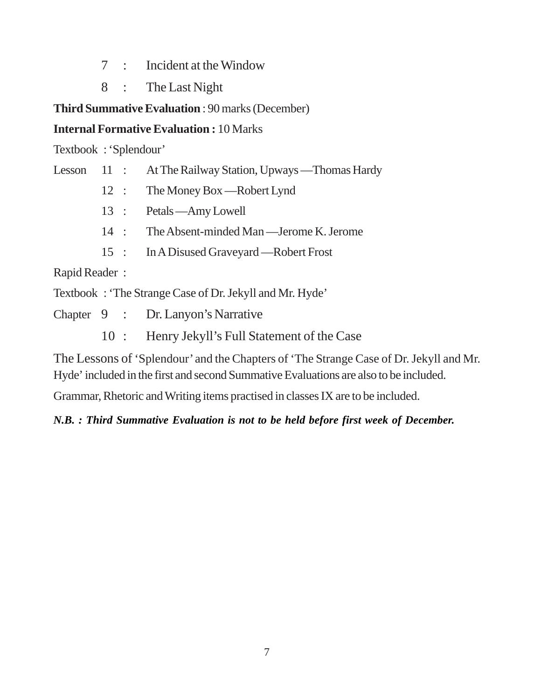- 7 : Incident at the Window
- 8 : The Last Night

**Third Summative Evaluation** : 90 marks (December)

#### **Internal Formative Evaluation :** 10 Marks

Textbook : 'Splendour'

| Lesson $11$ : |  | At The Railway Station, Upways — Thomas Hardy |  |
|---------------|--|-----------------------------------------------|--|
|               |  |                                               |  |

- 12 : The Money Box —Robert Lynd
- 13 : Petals —Amy Lowell
- 14 : The Absent-minded Man —Jerome K. Jerome
- 15 : In A Disused Graveyard —Robert Frost

Rapid Reader :

Textbook : 'The Strange Case of Dr. Jekyll and Mr. Hyde'

- Chapter 9 : Dr. Lanyon's Narrative
	- 10 : Henry Jekyll's Full Statement of the Case

The Lessons of 'Splendour' and the Chapters of 'The Strange Case of Dr. Jekyll and Mr. Hyde' included in the first and second Summative Evaluations are also to be included.

Grammar, Rhetoric and Writing items practised in classes IX are to be included.

*N.B. : Third Summative Evaluation is not to be held before first week of December.*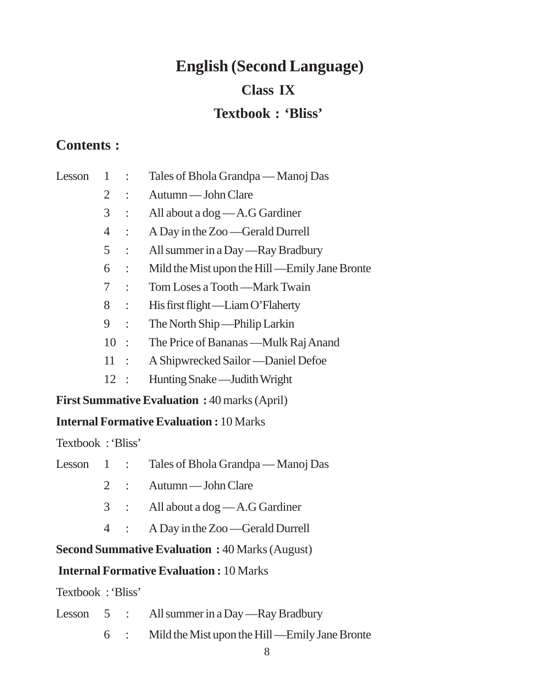# **English (Second Language) Class IX Textbook : 'Bliss'**

# **Contents :**

| Lesson | $1$ :  |                         | Tales of Bhola Grandpa — Manoj Das                  |
|--------|--------|-------------------------|-----------------------------------------------------|
|        | 2:     |                         | Autumn — John Clare                                 |
|        | 3      | $\mathbb{C}^{\times}$   | All about a dog - A.G Gardiner                      |
|        | 4      | $\mathbb{R}^n$          | A Day in the Zoo —Gerald Durrell                    |
|        | 5      | $\sim$ $\sim$           | All summer in a Day — Ray Bradbury                  |
|        | 6      | $\sim$ $\sim$           | Mild the Mist upon the Hill — Emily Jane Bronte     |
|        | 7:     |                         | Tom Loses a Tooth — Mark Twain                      |
|        | 8:     |                         | His first flight — Liam O'Flaherty                  |
|        | 9      | $\langle \cdot \rangle$ | The North Ship — Philip Larkin                      |
|        |        | $10$ :                  | The Price of Bananas — Mulk Raj Anand               |
|        |        | $11$ :                  | A Shipwrecked Sailor—Daniel Defoe                   |
|        | $12$ : |                         | Hunting Snake — Judith Wright                       |
|        |        |                         | <b>First Summative Evaluation: 40 marks (April)</b> |

#### **Internal Formative Evaluation :** 10 Marks

Textbook : 'Bliss'

- Lesson 1 : Tales of Bhola Grandpa Manoj Das
	- 2 : Autumn John Clare
	- 3 : All about a dog A.G Gardiner
	- 4 : A Day in the Zoo —Gerald Durrell

**Second Summative Evaluation :** 40 Marks (August)

#### **Internal Formative Evaluation :** 10 Marks

Textbook : 'Bliss'

- Lesson 5 : All summer in a Day —Ray Bradbury
	- 6 : Mild the Mist upon the Hill —Emily Jane Bronte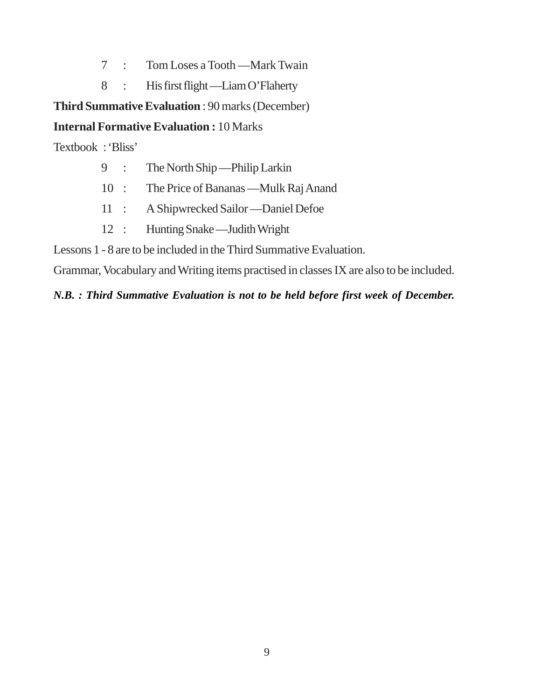- 7 : Tom Loses a Tooth —Mark Twain
- 8 : His first flight —Liam O'Flaherty

#### **Third Summative Evaluation** : 90 marks (December)

#### **Internal Formative Evaluation :** 10 Marks

Textbook : 'Bliss'

- 9 : The North Ship —Philip Larkin
- 10 : The Price of Bananas —Mulk Raj Anand
- 11 : A Shipwrecked Sailor —Daniel Defoe
- 12 : Hunting Snake —Judith Wright

Lessons 1 - 8 are to be included in the Third Summative Evaluation.

Grammar, Vocabulary and Writing items practised in classes IX are also to be included.

#### *N.B. : Third Summative Evaluation is not to be held before first week of December.*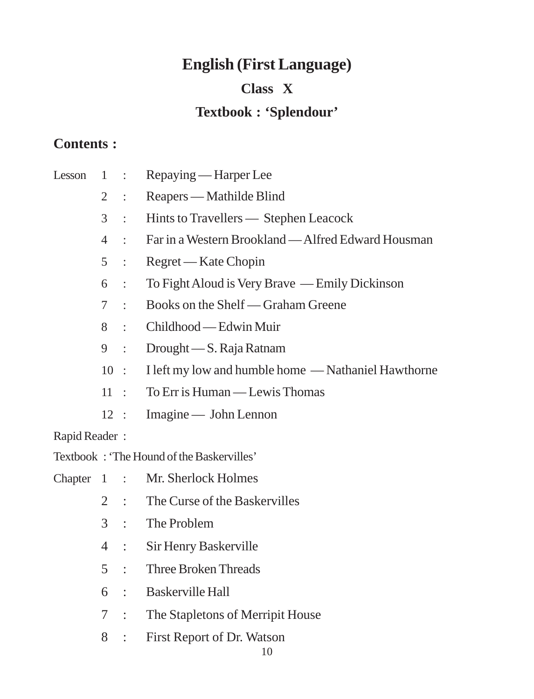# **English (First Language) Class X Textbook : 'Splendour'**

# **Contents :**

| Lesson        | $\mathbf{1}$   | $\mathbb{Z}^{\mathbb{Z}^n}$        | Repaying — Harper Lee                               |
|---------------|----------------|------------------------------------|-----------------------------------------------------|
|               | $\overline{2}$ | $\ddot{\cdot}$                     | Reapers — Mathilde Blind                            |
|               | 3              | $\ddot{\cdot}$                     | Hints to Travellers — Stephen Leacock               |
|               | $\overline{4}$ | ÷                                  | Far in a Western Brookland — Alfred Edward Housman  |
|               | 5              | $\ddot{\cdot}$                     | Regret — Kate Chopin                                |
|               | 6              | $\ddot{\cdot}$                     | To Fight Aloud is Very Brave — Emily Dickinson      |
|               | $\tau$         | ÷                                  | Books on the Shelf — Graham Greene                  |
|               | 8              | $\ddot{\cdot}$                     | Childhood — Edwin Muir                              |
|               | 9              | $\ddot{\cdot}$                     | Drought — S. Raja Ratnam                            |
|               | 10             | $\mathbb{R}^2$                     | I left my low and humble home — Nathaniel Hawthorne |
|               | 11             | $\mathcal{L}$                      | To Err is Human — Lewis Thomas                      |
|               | $12$ :         |                                    | Imagine — John Lennon                               |
| Rapid Reader: |                |                                    |                                                     |
|               |                |                                    | Textbook: 'The Hound of the Baskervilles'           |
| Chapter 1     |                | $\mathbb{R}^{\mathbb{Z}^{\times}}$ | Mr. Sherlock Holmes                                 |
|               | 2              | $\ddot{\cdot}$                     | The Curse of the Baskervilles                       |
|               | 3              | $\ddot{\cdot}$                     | The Problem                                         |
|               | $\overline{4}$ | $\ddot{\cdot}$                     | Sir Henry Baskerville                               |
|               | 5 <sup>5</sup> |                                    | <b>Three Broken Threads</b>                         |
|               | 6              | $\ddot{\cdot}$                     | <b>Baskerville Hall</b>                             |
|               |                |                                    |                                                     |

- 7 : The Stapletons of Merripit House
- 8 : First Report of Dr. Watson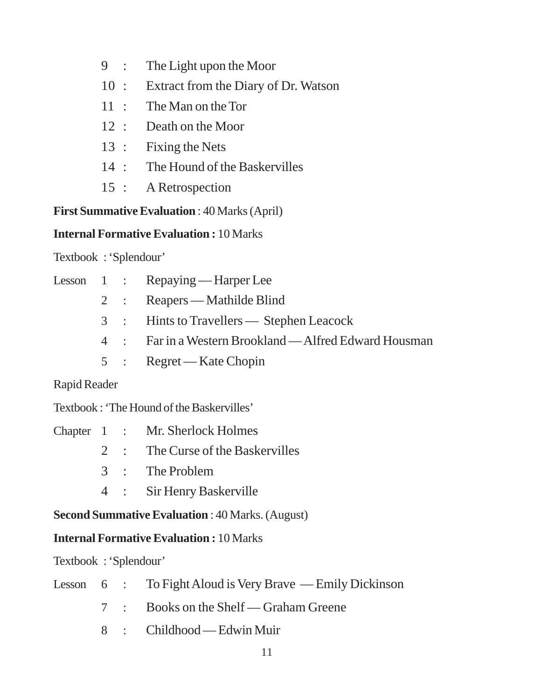- 9 : The Light upon the Moor
- 10 : Extract from the Diary of Dr. Watson
- 11 : The Man on the Tor
- 12 : Death on the Moor
- 13 : Fixing the Nets
- 14 : The Hound of the Baskervilles
- 15 : A Retrospection

**First Summative Evaluation** : 40 Marks (April)

#### **Internal Formative Evaluation :** 10 Marks

Textbook : 'Splendour'

|  | Lesson $1$ : Repaying — Harper Lee                     |
|--|--------------------------------------------------------|
|  | $2:$ Reapers — Mathilde Blind                          |
|  | $3:$ Hints to Travellers — Stephen Leacock             |
|  | 4 : Far in a Western Brookland — Alfred Edward Housman |
|  |                                                        |

5 : Regret — Kate Chopin

#### Rapid Reader

Textbook : 'The Hound of the Baskervilles'

|  | Chapter 1 : Mr. Sherlock Holmes   |
|--|-----------------------------------|
|  | 2 : The Curse of the Baskervilles |
|  | $3:$ The Problem                  |
|  | 4 : Sir Henry Baskerville         |

#### **Second Summative Evaluation** : 40 Marks. (August)

#### **Internal Formative Evaluation :** 10 Marks

Textbook : 'Splendour'

- Lesson 6 : To Fight Aloud is Very Brave Emily Dickinson
	- 7 : Books on the Shelf Graham Greene
	- 8 : Childhood Edwin Muir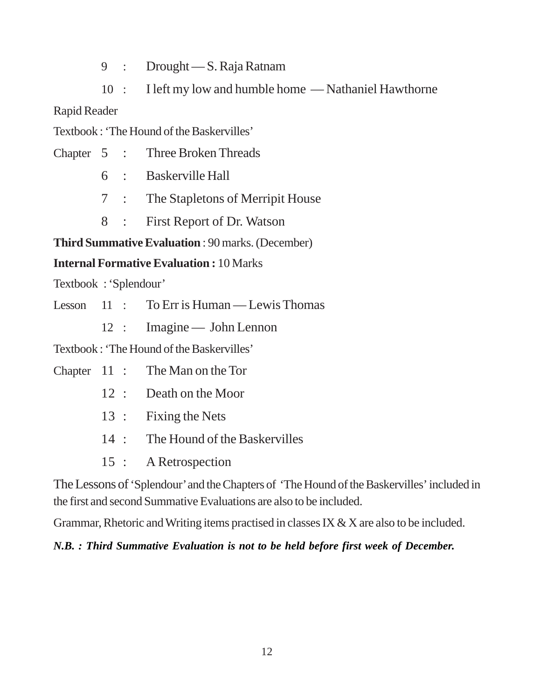- 9 : Drought S. Raja Ratnam
- 10 : I left my low and humble home Nathaniel Hawthorne

Rapid Reader

Textbook : 'The Hound of the Baskervilles'

- Chapter 5 : Three Broken Threads
	- 6 : Baskerville Hall
	- 7 : The Stapletons of Merripit House
	- 8 : First Report of Dr. Watson

**Third Summative Evaluation** : 90 marks. (December)

#### **Internal Formative Evaluation :** 10 Marks

Textbook : 'Splendour'

- Lesson 11 : To Err is Human Lewis Thomas
	- 12 : Imagine John Lennon

Textbook : 'The Hound of the Baskervilles'

- Chapter 11 : The Man on the Tor
	- 12 : Death on the Moor
	- 13 : Fixing the Nets
	- 14 : The Hound of the Baskervilles
	- 15 : A Retrospection

The Lessons of 'Splendour' and the Chapters of 'The Hound of the Baskervilles' included in the first and second Summative Evaluations are also to be included.

Grammar, Rhetoric and Writing items practised in classes IX  $\&$  X are also to be included.

#### *N.B. : Third Summative Evaluation is not to be held before first week of December.*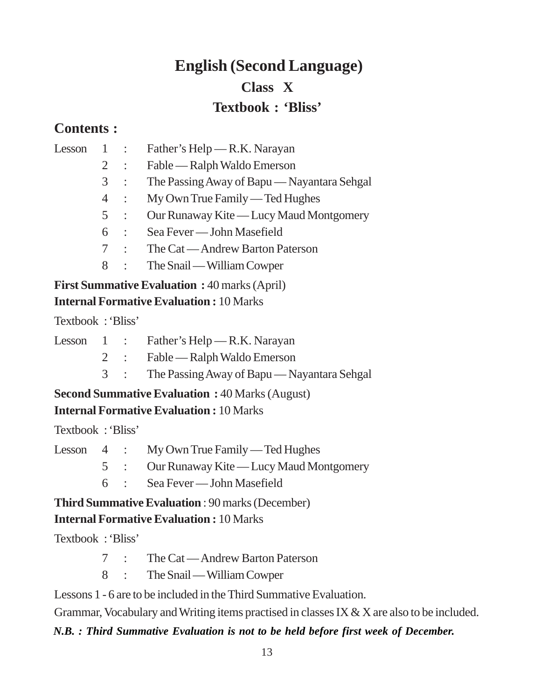# **English (Second Language) Class X Textbook : 'Bliss'**

# **Contents :**

Lesson

| 1 |                | Father's Help — R.K. Narayan                |
|---|----------------|---------------------------------------------|
| 2 |                | Fable — Ralph Waldo Emerson                 |
| 3 |                | The Passing Away of Bapu — Nayantara Sehgal |
| 4 | $\sim 10^{-1}$ | My Own True Family — Ted Hughes             |
| 5 | $\sim 10^{-1}$ | Our Runaway Kite — Lucy Maud Montgomery     |
| 6 | $\mathbb{R}^2$ | Sea Fever — John Masefield                  |
|   | $\mathcal{L}$  | The Cat — Andrew Barton Paterson            |
| 8 | ÷              | The Snail — William Cowper                  |

#### **First Summative Evaluation :** 40 marks (April) **Internal Formative Evaluation :** 10 Marks

Textbook: 'Bliss'

|  | Lesson $1$ : Father's Help — R.K. Narayan       |
|--|-------------------------------------------------|
|  | $2 :$ Fable — Ralph Waldo Emerson               |
|  | 3 : The Passing Away of Bapu — Nayantara Sehgal |

#### **Second Summative Evaluation :** 40 Marks (August) **Internal Formative Evaluation :** 10 Marks

Textbook : 'Bliss'

|  | Lesson $4:$ My Own True Family — Ted Hughes |
|--|---------------------------------------------|
|  | 5 : Our Runaway Kite — Lucy Maud Montgomery |
|  | 6 : Sea Fever — John Masefield              |

**Third Summative Evaluation** : 90 marks (December) **Internal Formative Evaluation :** 10 Marks

Textbook : 'Bliss'

- 7 : The Cat Andrew Barton Paterson
- 8 : The Snail William Cowper

Lessons 1 - 6 are to be included in the Third Summative Evaluation.

Grammar, Vocabulary and Writing items practised in classes IX & X are also to be included.

#### *N.B. : Third Summative Evaluation is not to be held before first week of December.*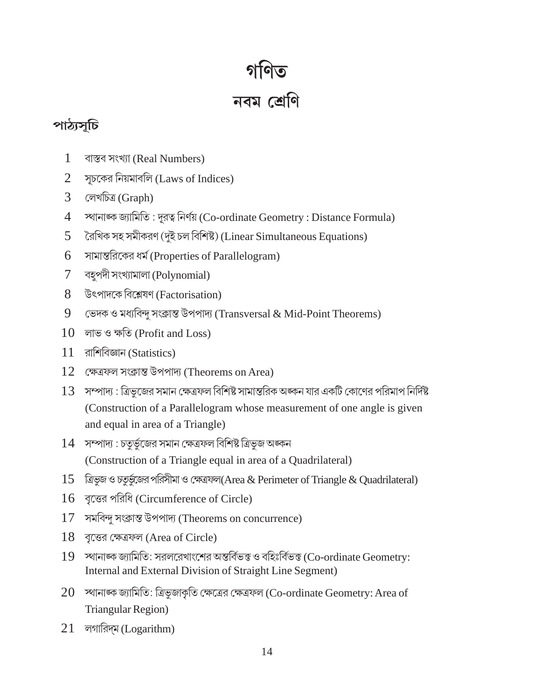# গণিত<br>নবম শ্ৰেণি

# পাঠ্যসূচি

- $\mathbf{1}$ বাস্তব সংখ্যা (Real Numbers)
- $2$  সূচকের নিয়মাবলি (Laws of Indices)
- 3 লেখচিত্ৰ (Graph)
- 4 স্থানাঙ্ক জামিতি: দূরত্ব নির্ণয় (Co-ordinate Geometry: Distance Formula)
- 5 ব্রৈখিক সহ সমীকরণ (দুই চল বিশিষ্ট) (Linear Simultaneous Equations)
- 6 সামান্তরিকের ধর্ম (Properties of Parallelogram)
- 7 বহুপদী সংখ্যামালা (Polynomial)
- 8 উৎপাদকে বিশ্লেষণ (Factorisation)
- 9 ডেদক ও মধ্যবিন্দু সংক্রান্ত উপপাদ্য (Transversal & Mid-Point Theorems)
- 10 লাভ ও ক্ষতি (Profit and Loss)
- 11 রাশিবিজ্ঞান (Statistics)
- 12 ক্ষেত্ৰফল সংক্ৰান্ত উপপাদ্য (Theorems on Area)
- $13$  সম্পাদ্য : ত্রিভুজের সমান ক্ষেত্রফল বিশিষ্ট সামান্তরিক অঙ্কন যার একটি কোণের পরিমাপ নির্দিষ্ট (Construction of a Parallelogram whose measurement of one angle is given and equal in area of a Triangle)
- 14 সম্পাদ্য: চতুৰ্ভূজের সমান ক্ষেত্রফল বিশিষ্ট ত্রিভুজ অধ্কন (Construction of a Triangle equal in area of a Quadrilateral)
- 15 কিভুজ ও চতুর্ভুজের পরিসীমা ও ক্ষেত্রফল(Area & Perimeter of Triangle & Quadrilateral)
- 16 বৃত্তের পরিধি (Circumference of Circle)
- 17 সমবিন্দু সংক্রান্ত উপপাদ্য (Theorems on concurrence)
- 18 বৃত্তের ক্ষেত্রফল (Area of Circle)
- $19$  স্থানাঙ্ক জামিতি: সরলরেখাংশের অন্তর্বিভক্ত ও বহিঃর্বিভক্ত (Co-ordinate Geometry: Internal and External Division of Straight Line Segment)
- $20$  শানাঙ্ক জামিতি: ত্রিভূজাকৃতি ক্ষেত্রের ক্ষেত্রফল (Co-ordinate Geometry: Area of **Triangular Region**)
- 21 লগারিদম (Logarithm)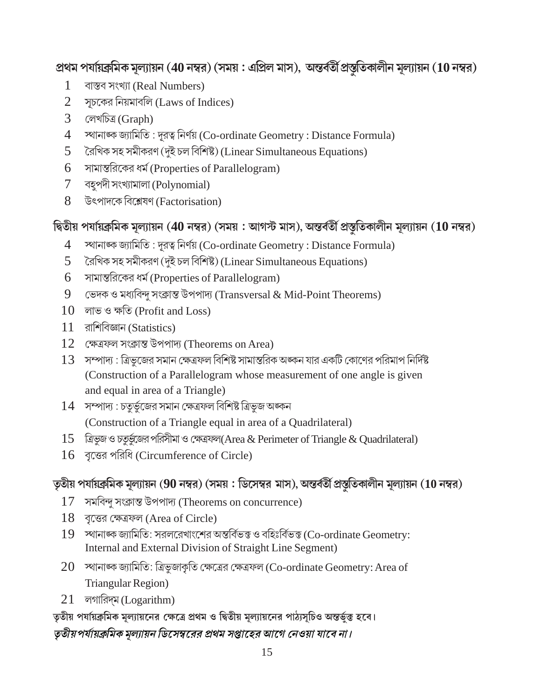প্রথম পর্যায়ক্রমিক মূল্যায়ন (40 নম্বর) (সময় : এপ্রিল মাস), অন্তর্বর্তী প্রস্তুতিকালীন মূল্যায়ন (10 নম্বর)

- $1$ বাস্তব সংখ্যা (Real Numbers)
- সচকের নিয়মাবলি (Laws of Indices)  $2<sup>1</sup>$
- 3 লেখচিত্ৰ (Graph)
- স্থানাঙ্ক জ্যামিতি: দূরত্ব নির্ণয় (Co-ordinate Geometry: Distance Formula)  $\overline{4}$
- 5 ব্রথিক সহ সমীকরণ (দুই চল বিশিষ্ট) (Linear Simultaneous Equations)
- 6 সামান্তরিকের ধর্ম (Properties of Parallelogram)
- 7 বহুপদী সংখ্যামালা (Polynomial)
- 8 উৎপাদকে বিশ্লেষণ (Factorisation)

# দ্বিতীয় পর্যায়ক্রমিক মূল্যায়ন (40 নম্বর) (সময়: আগস্ট মাস), অন্তর্বর্তী প্রস্তুতিকালীন মূল্যায়ন (10 নম্বর)

- স্থানাঙ্ক জ্যামিতি: দুরত্ব নির্ণয় (Co-ordinate Geometry: Distance Formula)  $4 -$
- 5 ব্রথিক সহ সমীকরণ (দুই চল বিশিষ্ট) (Linear Simultaneous Equations)
- 6 সামান্তরিকের ধর্ম (Properties of Parallelogram)
- 9 ডেদক ও মধ্যবিন্দু সংক্রান্ত উপপাদ্য (Transversal & Mid-Point Theorems)
- 10 লাভ ও ক্ষতি (Profit and Loss)
- 11 রাশিবিজ্ঞান (Statistics)
- 12 ক্ষেত্ৰফল সংক্ৰান্ত উপপাদ্য (Theorems on Area)
- $13$  সম্পাদ্য : ত্রিভজের সমান ক্ষেত্রফল বিশিষ্ট সামান্তরিক অঙ্কন যার একটি কোণের পরিমাপ নির্দিষ্ট (Construction of a Parallelogram whose measurement of one angle is given and equal in area of a Triangle)
- $14$  সম্পাদ্য : চতুৰ্ভুজের সমান ক্ষেত্রফল বিশিষ্ট ত্রিভূজ অধ্কন (Construction of a Triangle equal in area of a Quadrilateral)
- $15$  ত্রিভুজ ও চতুর্ভুজের পরিসীমা ও ক্ষেত্রফল(Area & Perimeter of Triangle & Quadrilateral)
- 16 বৃত্তের পরিধি (Circumference of Circle)

# তৃতীয় পর্যায়ক্রমিক মূল্যায়ন (90 নম্বর) (সময় : ডিসেম্বর মাস), অন্তর্বর্তী প্রস্তুতিকালীন মূল্যায়ন (10 নম্বর)

- 17 সমবিন্দু সংক্রান্ত উপপাদ্য (Theorems on concurrence)
- 18 বৃত্তের ক্ষেত্রফল (Area of Circle)
- $19$  স্থানাজ্ঞ জ্যামিতি: সরলরেখাংশের অন্তর্বিভক্ত ও বহিঃর্বিভক্ত (Co-ordinate Geometry: Internal and External Division of Straight Line Segment)
- $20$  স্থানাঙ্ক জ্যামিতি: ত্রিভুজাকৃতি ক্ষেত্রের ক্ষেত্রফল (Co-ordinate Geometry: Area of **Triangular Region**)
- 21 লগারিদম (Logarithm)

তৃতীয় পর্যায়ক্রমিক মূল্যায়নের ক্ষেত্রে প্রথম ও দ্বিতীয় মূল্যায়নের পাঠ্যসূচিও অন্তর্ভুক্ত হবে। তৃতীয়পর্যায়ক্রমিক মল্যায়ন ডিসেম্বরের প্রথম সপ্তাহের আগে নেওয়া যাবে না।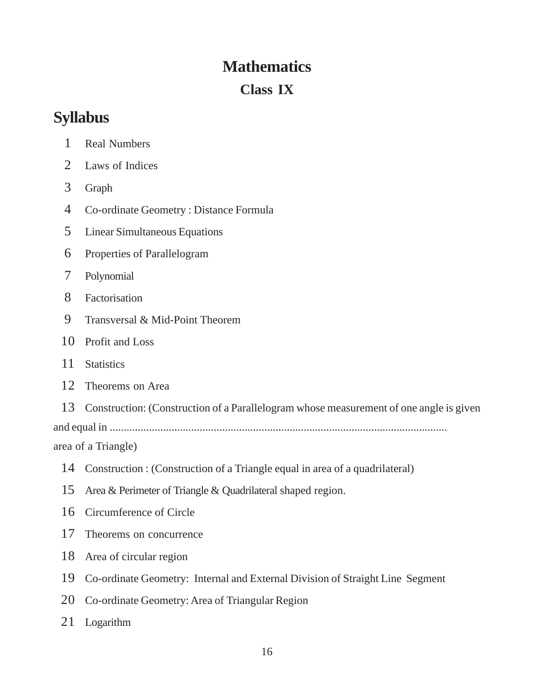# **Mathematics**

# **Class IX**

# **Syllabus**

- Real Numbers
- 2. Laws of Indices
- Graph
- Co-ordinate Geometry : Distance Formula
- Linear Simultaneous Equations
- Properties of Parallelogram
- Polynomial
- Factorisation
- Transversal & Mid-Point Theorem
- Profit and Loss
- Statistics
- Theorems on Area
- Construction: (Construction of a Parallelogram whose measurement of one angle is given
- and equal in ........................................................................................................................

#### area of a Triangle)

- Construction : (Construction of a Triangle equal in area of a quadrilateral)
- Area & Perimeter of Triangle & Quadrilateral shaped region.
- Circumference of Circle
- Theorems on concurrence
- Area of circular region
- Co-ordinate Geometry: Internal and External Division of Straight Line Segment
- Co-ordinate Geometry: Area of Triangular Region
- Logarithm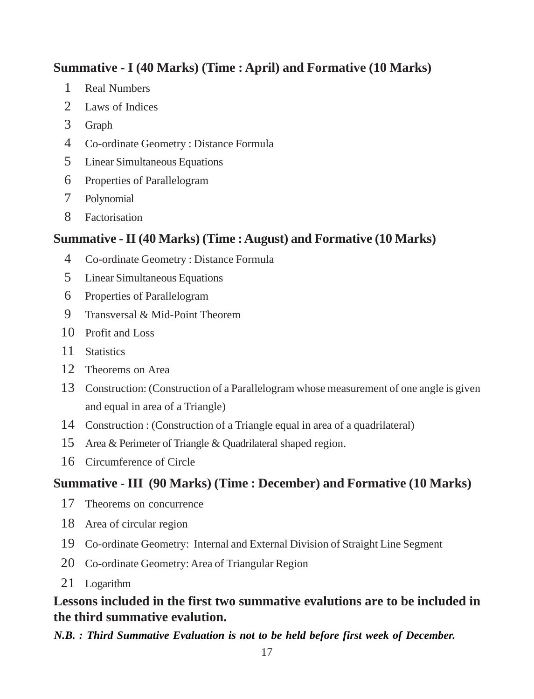### **Summative - I (40 Marks) (Time : April) and Formative (10 Marks)**

- Real Numbers
- Laws of Indices
- Graph
- Co-ordinate Geometry : Distance Formula
- Linear Simultaneous Equations
- Properties of Parallelogram
- Polynomial
- Factorisation

#### **Summative - II (40 Marks) (Time : August) and Formative (10 Marks)**

- Co-ordinate Geometry : Distance Formula
- Linear Simultaneous Equations
- Properties of Parallelogram
- Transversal & Mid-Point Theorem
- Profit and Loss
- 11 Statistics
- Theorems on Area
- Construction: (Construction of a Parallelogram whose measurement of one angle is given and equal in area of a Triangle)
- Construction : (Construction of a Triangle equal in area of a quadrilateral)
- Area & Perimeter of Triangle & Quadrilateral shaped region.
- Circumference of Circle

### **Summative - III (90 Marks) (Time : December) and Formative (10 Marks)**

- Theorems on concurrence
- Area of circular region
- Co-ordinate Geometry: Internal and External Division of Straight Line Segment
- Co-ordinate Geometry: Area of Triangular Region
- Logarithm

### **Lessons included in the first two summative evalutions are to be included in the third summative evalution.**

#### *N.B. : Third Summative Evaluation is not to be held before first week of December.*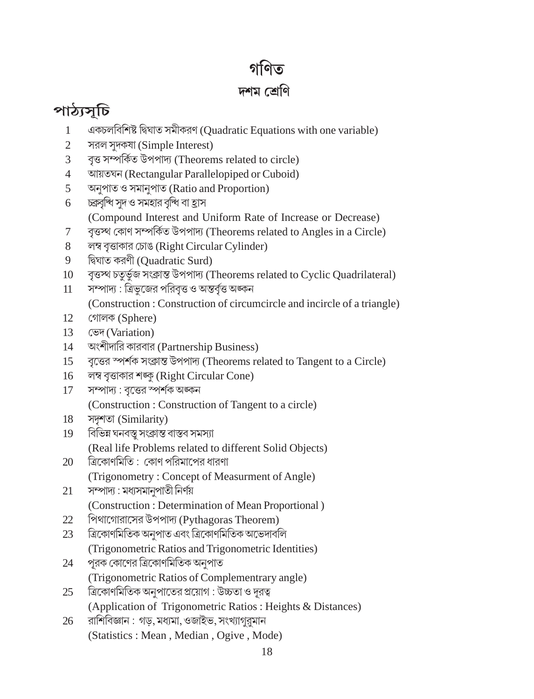# গাণত

# দশম শ্লেণি

# পাঠ্যসূচি

- একচলবিশিষ্ট দ্বিঘাত সমীকরণ (Quadratic Equations with one variable)  $1$
- $2^{\circ}$ সরল সুদকষা (Simple Interest)
- বৃত্ত সম্পৰ্কিত উপপাদ্য (Theorems related to circle)  $\overline{3}$
- $4 -$ আয়তঘন (Rectangular Parallelopiped or Cuboid)
- অনুপাত ও সমানুপাত (Ratio and Proportion)  $5<sup>5</sup>$
- চব্ৰবৃষ্ণি সুদ ও সমহার বৃষ্ণি বা হ্রাস 6
	- (Compound Interest and Uniform Rate of Increase or Decrease)
- বৃত্তম্থ কোণ সম্পৰ্কিত উপপাদ্য (Theorems related to Angles in a Circle)  $7<sup>1</sup>$
- 8 লম্ব বৃত্তাকার চোঙ (Right Circular Cylinder)
- দ্বিঘাত করণী (Quadratic Surd) 9
- বৃত্তম্থ চতুৰ্ভুজ সংক্ৰান্ত উপপাদ্য (Theorems related to Cyclic Quadrilateral) 10
- সম্পাদ্য: ত্রিভজের পরিবত্ত ও অন্তর্বৃত্ত অঙ্কন  $11$ (Construction: Construction of circumcircle and incircle of a triangle)
- 12 গোলক (Sphere)
- $13<sup>7</sup>$ ডেদ (Variation)
- অংশীদারি কারবার (Partnership Business)  $14$
- বৃত্তের স্পর্শক সংক্রান্ত উপপাদ্য (Theorems related to Tangent to a Circle)  $15<sup>7</sup>$
- লম্ব বৃত্তাকার শঙ্কু (Right Circular Cone) 16
- সম্পাদ্য : বৃত্তের স্পর্শক অঙ্কন 17

(Construction: Construction of Tangent to a circle)

- 18 সদৃশতা (Similarity)
- বিভিন্ন ঘনবস্তু সংক্ৰান্ত বাস্তব সমস্যা 19 (Real life Problems related to different Solid Objects)
- ত্রিকোণমিতি : কোণ পরিমাপের ধারণা 20 (Trigonometry: Concept of Measurment of Angle)
- 21 সম্পাদ্য: মধ্যসমানুপাতী নিৰ্ণয় (Construction: Determination of Mean Proportional)
- পিথাগোরাসের উপপাদ্য (Pythagoras Theorem) 22
- ত্ৰিকোণমিতিক অনুপাত এবং ত্ৰিকোণমিতিক অভেদাবলি 23
	- (Trigonometric Ratios and Trigonometric Identities)
- পুরক কোণের ত্রিকোণমিতিক অনুপাত 24 (Trigonometric Ratios of Complementrary angle)
- 25 ত্রিকোণমিতিক অনুপাতের প্রয়োগ : উচ্চতা ও দূরত্ব (Application of Trigonometric Ratios: Heights & Distances)
- 26 রাশিবিজ্ঞান : গড়, মধ্যমা, ওজাইভ, সংখ্যাগুরুমান (Statistics: Mean, Median, Ogive, Mode)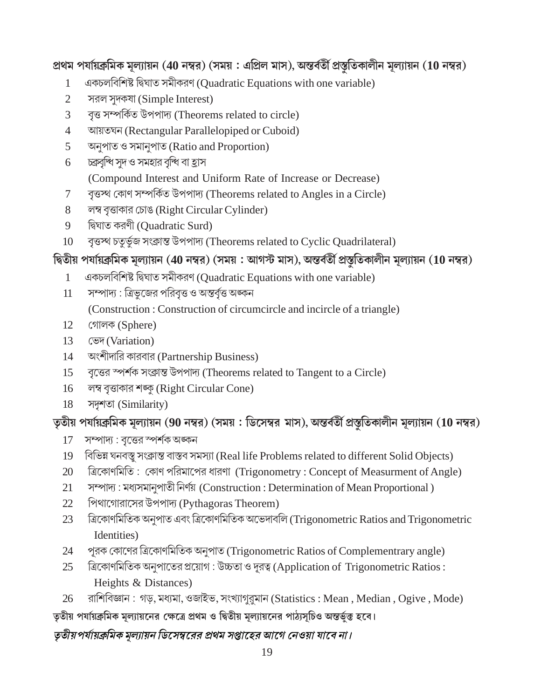প্রথম পর্যায়ক্রমিক মূল্যায়ন (40 নম্বর) (সময় : এপ্রিল মাস), অন্তর্বর্তী প্রস্তুতিকালীন মূল্যায়ন (10 নম্বর)

- একচলবিশিষ্ট দ্বিঘাত সমীকরণ (Quadratic Equations with one variable)  $\mathbf{1}$
- $\overline{2}$ সরল সুদকষা (Simple Interest)
- বৃত্ত সম্পৰ্কিত উপপাদ্য (Theorems related to circle)  $3<sup>7</sup>$
- আয়তঘন (Rectangular Parallelopiped or Cuboid)  $\overline{4}$
- $5<sup>5</sup>$ অনুপাত ও সমানুপাত (Ratio and Proportion)
- চব্ৰসৃষ্ণি সুদ ও সমহার বৃষ্ণি বা হ্রাস 6

(Compound Interest and Uniform Rate of Increase or Decrease)

- বৃত্তম্থ কোণ সম্পর্কিত উপপাদ্য (Theorems related to Angles in a Circle)  $\tau$
- লম্ব বৃত্তাকার চোঙ (Right Circular Cylinder) 8
- 9 দ্বিঘাত করণী (Quadratic Surd)
- বৃত্তম্থ চতুৰ্ভুজ সংক্ৰান্ত উপপাদ্য (Theorems related to Cyclic Quadrilateral)  $10<sup>-10</sup>$

দ্বিতীয় পর্যায়ক্রমিক মূল্যায়ন (40 নম্বর) (সময়: আগস্ট মাস), অন্তর্বর্তী প্রস্তুতিকালীন মূল্যায়ন (10 নম্বর)

- একচলবিশিষ্ট দ্বিঘাত সমীকরণ (Quadratic Equations with one variable)  $\mathbf{1}$
- সম্পাদ্য: ত্রিভুজের পরিবৃত্ত ও অন্তর্বৃত্ত অঙ্কন  $11$ (Construction: Construction of circumcircle and incircle of a triangle)
- 12 গোলক (Sphere)
- 13 ডেদ (Variation)
- অংশীদারি কারবার (Partnership Business)  $14$
- বৃত্তের স্পর্শক সংক্রান্ত উপপাদ্য (Theorems related to Tangent to a Circle)  $15<sup>-15</sup>$
- $16<sup>1</sup>$ লম্ব বৃত্তাকার শঙ্কু (Right Circular Cone)
- 18 সদৃশতা (Similarity)

তৃতীয় পর্যায়ক্রমিক মূল্যায়ন (90 নম্বর) (সময় : ডিসেম্বর মাস), অন্তর্বর্তী প্রস্তুতিকালীন মূল্যায়ন (10 নম্বর)

- সম্পাদ্য: বত্তের স্পর্শক অঙ্কন  $17<sup>7</sup>$
- 19 বিভিন্ন ঘনবস্তু সংক্রান্ত বাস্তব সমস্যা (Real life Problems related to different Solid Objects)
- ত্রিকোণমিতি: কোণ পরিমাপের ধারণা (Trigonometry: Concept of Measurment of Angle) 20
- সম্পাদ্য: মধ্যসমানুপাতী নিৰ্ণয় (Construction: Determination of Mean Proportional)  $21$
- পিথাগোরাসের উপপাদ্য (Pythagoras Theorem) 22
- ত্ৰিকোণমিতিক অনুপাত এবং ত্ৰিকোণমিতিক অভেদাবলি (Trigonometric Ratios and Trigonometric 23 Identities)
- পরক কোণের ত্রিকোণমিতিক অনুপাত (Trigonometric Ratios of Complementrary angle) 24
- ত্রিকোণমিতিক অনুপাতের প্রয়োগ: উচ্চতা ও দূরত্ব (Application of Trigonometric Ratios: 25 Heights & Distances)
- রাশিবিজ্ঞান: গড়, মধ্যমা, ওজাইভ, সংখ্যাগুরুমান (Statistics: Mean, Median, Ogive, Mode) 26

তৃতীয় পর্যায়ক্রমিক মূল্যায়নের ক্ষেত্রে প্রথম ও দ্বিতীয় মূল্যায়নের পাঠ্যসূচিও অন্তর্ভুক্ত হবে।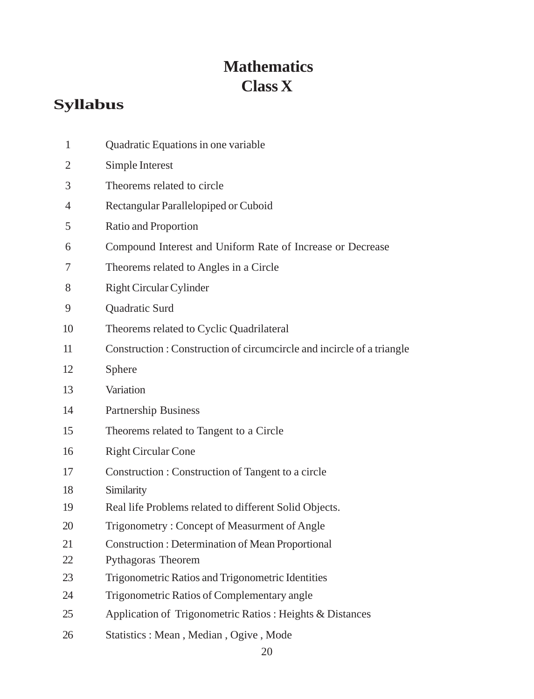# **Mathematics Class X**

# **Syllabus**

| 1              | Quadratic Equations in one variable                                   |
|----------------|-----------------------------------------------------------------------|
| $\overline{2}$ | Simple Interest                                                       |
| 3              | Theorems related to circle                                            |
| 4              | Rectangular Parallelopiped or Cuboid                                  |
| 5              | Ratio and Proportion                                                  |
| 6              | Compound Interest and Uniform Rate of Increase or Decrease            |
| 7              | Theorems related to Angles in a Circle                                |
| 8              | <b>Right Circular Cylinder</b>                                        |
| 9              | Quadratic Surd                                                        |
| 10             | Theorems related to Cyclic Quadrilateral                              |
| 11             | Construction: Construction of circumcircle and incircle of a triangle |
| 12             | Sphere                                                                |
| 13             | Variation                                                             |
| 14             | <b>Partnership Business</b>                                           |
| 15             | Theorems related to Tangent to a Circle                               |
| 16             | <b>Right Circular Cone</b>                                            |
| 17             | Construction: Construction of Tangent to a circle                     |
| 18             | Similarity                                                            |
| 19             | Real life Problems related to different Solid Objects.                |
| 20             | Trigonometry: Concept of Measurment of Angle                          |
| 21             | <b>Construction: Determination of Mean Proportional</b>               |
| 22             | Pythagoras Theorem                                                    |
| 23             | Trigonometric Ratios and Trigonometric Identities                     |
| 24             | Trigonometric Ratios of Complementary angle                           |
| 25             | Application of Trigonometric Ratios: Heights & Distances              |
| 26             | Statistics : Mean, Median, Ogive, Mode                                |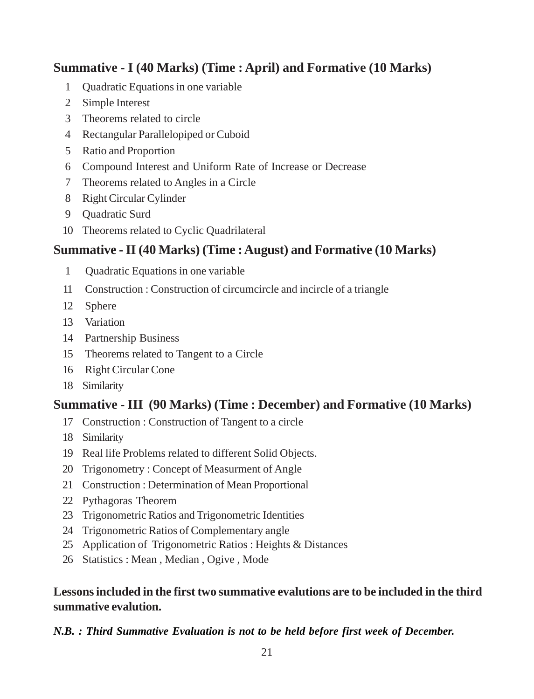#### **Summative - I (40 Marks) (Time : April) and Formative (10 Marks)**

- 1 Quadratic Equations in one variable
- 2 Simple Interest
- 3 Theorems related to circle
- 4 Rectangular Parallelopiped or Cuboid
- 5 Ratio and Proportion
- 6 Compound Interest and Uniform Rate of Increase or Decrease
- 7 Theorems related to Angles in a Circle
- 8 Right Circular Cylinder
- 9 Quadratic Surd
- 10 Theorems related to Cyclic Quadrilateral

#### **Summative - II (40 Marks) (Time : August) and Formative (10 Marks)**

- 1 Quadratic Equations in one variable
- 11 Construction : Construction of circumcircle and incircle of a triangle
- 12 Sphere
- 13 Variation
- 14 Partnership Business
- 15 Theorems related to Tangent to a Circle
- 16 Right Circular Cone
- 18 Similarity

#### **Summative - III (90 Marks) (Time : December) and Formative (10 Marks)**

- 17 Construction : Construction of Tangent to a circle
- 18 Similarity
- 19 Real life Problems related to different Solid Objects.
- 20 Trigonometry : Concept of Measurment of Angle
- 21 Construction : Determination of Mean Proportional
- 22 Pythagoras Theorem
- 23 Trigonometric Ratios and Trigonometric Identities
- 24 Trigonometric Ratios of Complementary angle
- 25 Application of Trigonometric Ratios : Heights & Distances
- 26 Statistics : Mean , Median , Ogive , Mode

#### **Lessons included in the first two summative evalutions are to be included in the third summative evalution.**

#### *N.B. : Third Summative Evaluation is not to be held before first week of December.*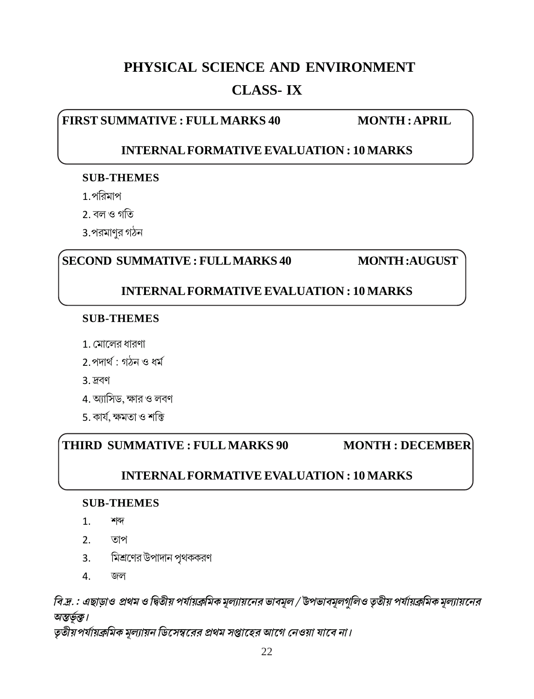# PHYSICAL SCIENCE AND ENVIRONMENT

## **CLASS-IX**

#### **FIRST SUMMATIVE : FULL MARKS 40**

#### **MONTH: APRIL**

#### **INTERNAL FORMATIVE EVALUATION : 10 MARKS**

#### **SUB-THEMES**

1 পবিমাপ

2. বল ও গতি

3. পরমাণুর গঠন

#### **SECOND SUMMATIVE : FULL MARKS 40**

#### **MONTH:AUGUST**

#### **INTERNAL FORMATIVE EVALUATION: 10 MARKS**

#### **SUB-THEMES**

- 1. মোলের ধারণা
- 2. পদাৰ্থ: গঠন ও ধৰ্ম
- 3. দ্রবণ
- 4. অ্যাসিড, ক্ষার ও লবণ
- 5. কাৰ্য, ক্ষমতা ও শক্তি

#### THIRD SUMMATIVE : FULL MARKS 90 **MONTH: DECEMBER**

#### **INTERNAL FORMATIVE EVALUATION : 10 MARKS**

#### **SUB-THEMES**

- $1<sup>1</sup>$ শবদ
- তাপ  $2.$
- মিশ্রণের উপাদান পৃথককরণ  $3.$
- $\overline{4}$ . জল

### বি.দ্র. : এছাড়াও প্রথম ও দ্বিতীয় পর্যায়ক্রমিক মূল্যায়নের ভাবমূল / উপভাবমূলগুলিও তৃতীয় পর্যায়ক্রমিক মূল্যায়নের অন্তৰ্ভক্ত।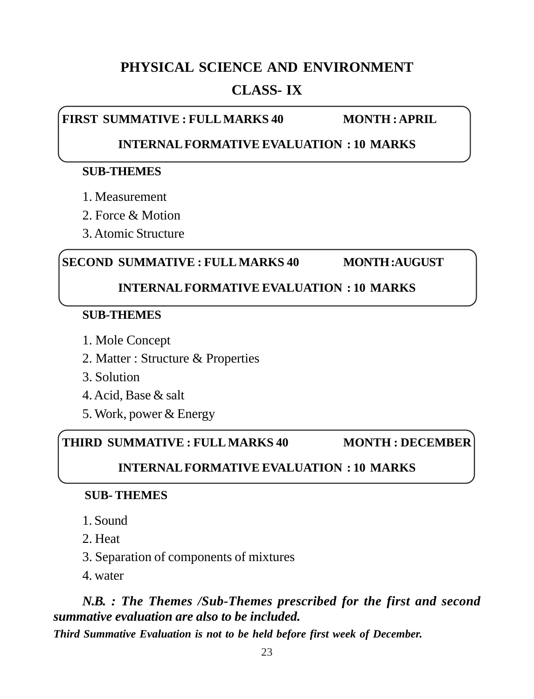#### **PHYSICAL SCIENCE AND ENVIRONMENT**

#### **CLASS- IX**

FIRST SUMMATIVE : FULL MARKS 40 MONTH : APRIL

#### **INTERNAL FORMATIVE EVALUATION : 10 MARKS**

#### **SUB-THEMES**

- 1. Measurement
- 2. Force & Motion
- 3. Atomic Structure

#### **SECOND SUMMATIVE : FULL MARKS 40 MONTH :AUGUST**

#### **INTERNAL FORMATIVE EVALUATION : 10 MARKS**

#### **SUB-THEMES**

- 1. Mole Concept
- 2. Matter : Structure & Properties
- 3. Solution
- 4. Acid, Base & salt
- 5. Work, power & Energy

#### **THIRD SUMMATIVE : FULL MARKS 40 MONTH : DECEMBER**

#### **INTERNAL FORMATIVE EVALUATION : 10 MARKS**

#### **SUB- THEMES**

- 1. Sound
- 2. Heat
- 3. Separation of components of mixtures
- 4. water

#### *N.B. : The Themes /Sub-Themes prescribed for the first and second summative evaluation are also to be included.*

*Third Summative Evaluation is not to be held before first week of December.*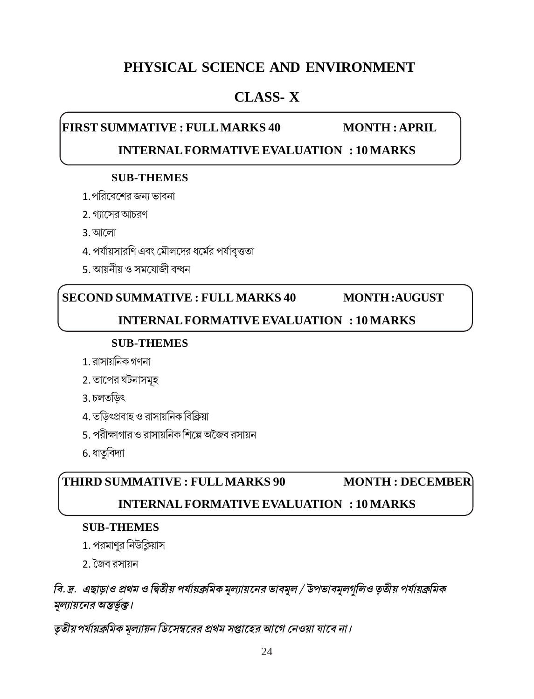# PHYSICAL SCIENCE AND ENVIRONMENT

# **CLASS-X**

#### **FIRST SUMMATIVE : FULL MARKS 40**

**MONTH: APRIL** 

#### **INTERNAL FORMATIVE EVALUATION : 10 MARKS**

#### **SUB-THEMES**

1. পরিবেশের জন্য ভাবনা

2. গ্যাসের আচরণ

- $3.$  আলো
- 4. পর্যায়সারণি এবং মৌলদের ধর্মের পর্যাবৃত্ততা
- 5. আয়নীয় ও সমযোজী বন্ধন

#### SECOND SUMMATIVE : FULL MARKS 40 MONTH : AUGUST

#### **INTERNAL FORMATIVE EVALUATION : 10 MARKS**

#### **SUB-THEMES**

- 1. রাসায়নিক গণনা
- 2. তাপের ঘটনাসমূহ
- 3. চলতডিৎ
- 4. তডিৎপ্ৰবাহ ও রাসায়নিক বিক্রিয়া
- 5. পরীক্ষাগার ও রাসায়নিক শিল্পে অজৈব রসায়ন
- 6. ধাতুবিদ্যা

#### THIRD SUMMATIVE : FULL MARKS 90 **MONTH: DECEMBER**

#### **INTERNAL FORMATIVE EVALUATION : 10 MARKS**

#### **SUB-THEMES**

- 1. পরমাণুর নিউক্লিয়াস
- 2. জৈব রসায়ন

#### বি. দ্র. এছাড়াও প্রথম ও দ্বিতীয় পর্যায়ক্রমিক মূল্যায়নের ভাবমূল / উপভাবমূলগুলিও তৃতীয় পর্যায়ক্রমিক মল্যায়নের অন্তর্ভুক্ত।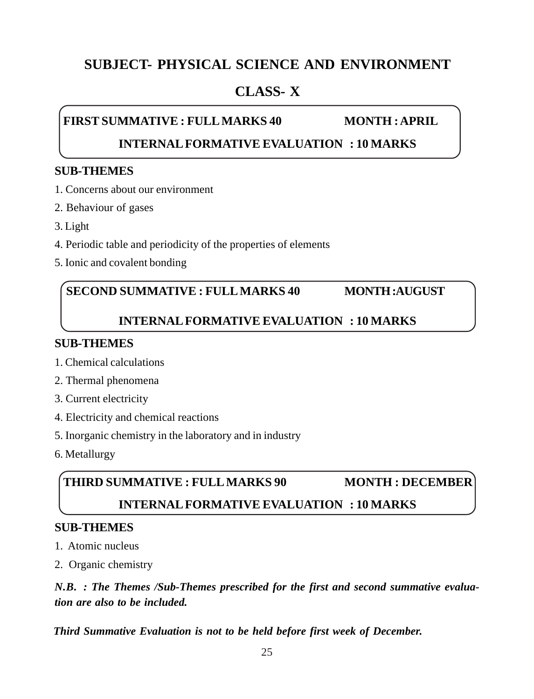### **SUBJECT- PHYSICAL SCIENCE AND ENVIRONMENT**

### **CLASS- X**

# **FIRST SUMMATIVE : FULL MARKS 40 MONTH : APRIL**

#### **INTERNAL FORMATIVE EVALUATION : 10 MARKS**

#### **SUB-THEMES**

- 1. Concerns about our environment
- 2. Behaviour of gases
- 3. Light
- 4. Periodic table and periodicity of the properties of elements
- 5. Ionic and covalent bonding

#### **SECOND SUMMATIVE : FULL MARKS 40 MONTH :AUGUST**

#### **INTERNAL FORMATIVE EVALUATION : 10 MARKS**

#### **SUB-THEMES**

- 1. Chemical calculations
- 2. Thermal phenomena
- 3. Current electricity
- 4. Electricity and chemical reactions
- 5. Inorganic chemistry in the laboratory and in industry
- 6. Metallurgy

#### **THIRD SUMMATIVE : FULL MARKS 90 MONTH : DECEMBER**

#### **INTERNAL FORMATIVE EVALUATION : 10 MARKS**

#### **SUB-THEMES**

- 1. Atomic nucleus
- 2. Organic chemistry

*N.B. : The Themes /Sub-Themes prescribed for the first and second summative evaluation are also to be included.*

*Third Summative Evaluation is not to be held before first week of December.*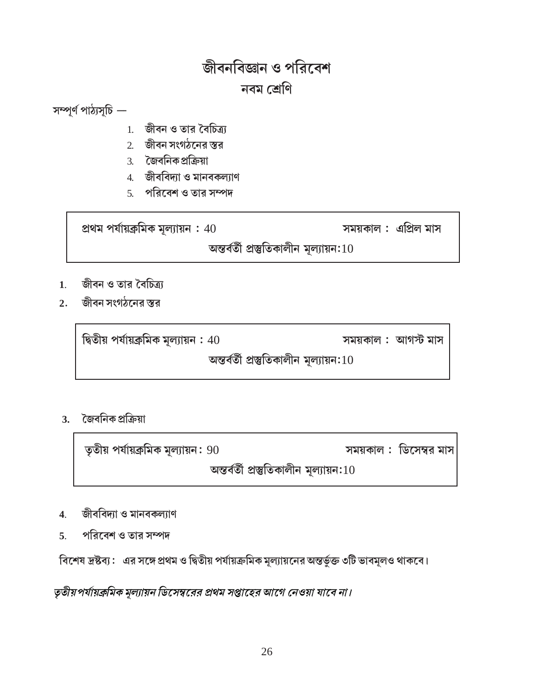# জীবনবিজ্ঞান ও পরিবেশ নবম শ্ৰেণি

সম্পূৰ্ণ পাঠ্যসূচি -

- 1. জীবন ও তার বৈচিত্র্য
- 2. জীবন সংগঠনের স্তর
- 3. জৈবনিক প্ৰক্ৰিয়া
- 4. জীববিদ্যা ও মানবকল্যাণ
- 5 পরিবেশ ও তার সম্পদ

প্ৰথম পৰ্যায়ক্ৰমিক মূল্যায়ন:  $40$ 

সময়কাল : এপ্রিল মাস

অন্তর্বর্তী প্রস্তুতিকালীন মূল্যায়ন: $10$ 

- জীবন ও তার বৈচিত্র্য  $\mathbf{1}$ .
- জীবন সংগঠনের স্তর  $\overline{2}$ .

দ্বিতীয় পর্যায়ক্রমিক মূল্যায়ন:  $40$ 

সময়কাল : আগস্ট মাস

অন্তর্বর্তী প্রস্তুতিকালীন মূল্যায়ন: $10$ 

### 3. জৈবনিক প্ৰক্ৰিয়া

তৃতীয় পর্যায়ক্রমিক মূল্যায়ন $\colon 90$ সময়কাল : ডিসেম্বর মাস অন্তর্বর্তী প্রস্তুতিকালীন মূল্যায়ন: $10$ 

- জীববিদ্যা ও মানবকল্যাণ  $\overline{\mathbf{4}}$ .
- পরিবেশ ও তার সম্পদ  $5<sub>1</sub>$

বিশেষ দ্রষ্টব্য: এর সঙ্গে প্রথম ও দ্বিতীয় পর্যায়ক্রমিক মূল্যায়নের অন্তর্ভুক্ত ৩টি ভাবমূলও থাকবে।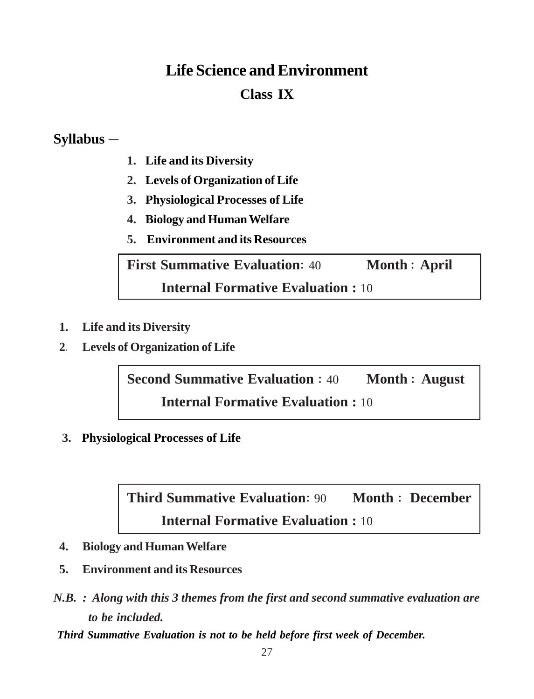# **Life Science and Environment**

# **Class IX**

# **Syllabus** –

- **1. Life and its Diversity**
- **2. Levels of Organization of Life**
- **3. Physiological Processes of Life**
- **4. Biology and Human Welfare**
- **5. Environment and its Resources**

**First Summative Evaluation: 40 <b>Month : April Internal Formative Evaluation :** 10

- **1. Life and its Diversity**
- **2. Levels of Organization of Life**

**Second Summative Evaluation**  $: 40$  **Month**  $:$  **August Internal Formative Evaluation :** 10

**3. Physiological Processes of Life**

**Third Summative Evaluation: 90 <b>Month ± December Internal Formative Evaluation :** 10

- **4. Biology and Human Welfare**
- **5. Environment and its Resources**
- *N.B. : Along with this 3 themes from the first and second summative evaluation are to be included.*

 *Third Summative Evaluation is not to be held before first week of December.*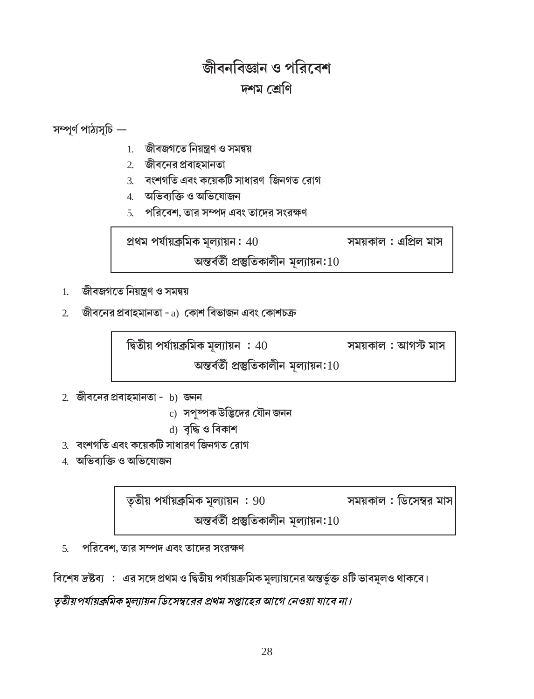# জীবনবিজ্ঞান ও পরিবেশ দশম শ্ৰেণি

সম্পূৰ্ণ পাঠ্যসূচি —

- 1. জীবজগতে নিয়ন্ত্ৰণ ও সমন্বয়
- $2^{\circ}$ জীবনের প্রবাহমানতা
- বংশগতি এবং কয়েকটি সাধারণ জিনগত রোগ 3.
- অভিব্যক্তি ও অভিযোজন  $\overline{4}$ .
- পরিবেশ, তার সম্পদ এবং তাদের সংরক্ষণ  $5<sub>1</sub>$

প্ৰথম পৰ্যায়ক্ৰমিক মূল্যায়ন:  $40$ 

সময়কাল : এপ্রিল মাস

অন্তর্বর্তী প্রস্তুতিকালীন মূল্যায়ন: $10$ 

- জীবজগতে নিয়ন্ত্ৰণ ও সমন্বয়  $1<sub>1</sub>$
- জীবনের প্রবাহমানতা a) কোশ বিভাজন এবং কোশচক্র  $\mathcal{D}_{\mathcal{L}}$

দ্বিতীয় পর্যায়ক্রমিক মূল্যায়ন :  $40$ 

সময়কাল : আগস্ট মাস

অন্তর্বর্তী প্রস্তুতিকালীন মূল্যায়ন: $10$ 

- 2. জীবনের প্রবাহমানতা b) জনন
	- c) সপুষ্পক উদ্ভিদের যৌন জনন
	- d) বৃদ্ধি ও বিকাশ
- 3. বংশগতি এবং কয়েকটি সাধারণ জিনগত রোগ
- 4. অভিব্যক্তি ও অভিযোজন

তৃতীয় পর্যায়ক্রমিক মূল্যায়ন $\; : \; 90$ সময়কাল : ডিসেম্বর মাস অন্তর্বর্তী প্রস্তুতিকালীন মূল্যায়ন: $10$ 

পরিবেশ, তার সম্পদ এবং তাদের সংরক্ষণ  $5<sub>1</sub>$ 

বিশেষ দ্রষ্টব্য : এর সঙ্গে প্রথম ও দ্বিতীয় পর্যায়ক্রমিক মূল্যায়নের অন্তর্ভুক্ত ৪টি ভাবমূলও থাকবে। তৃতীয়পর্যায়ক্রমিক মূল্যায়ন ডিসেম্বরের প্রথম সপ্তাহের আগে নেওয়া যাবে না।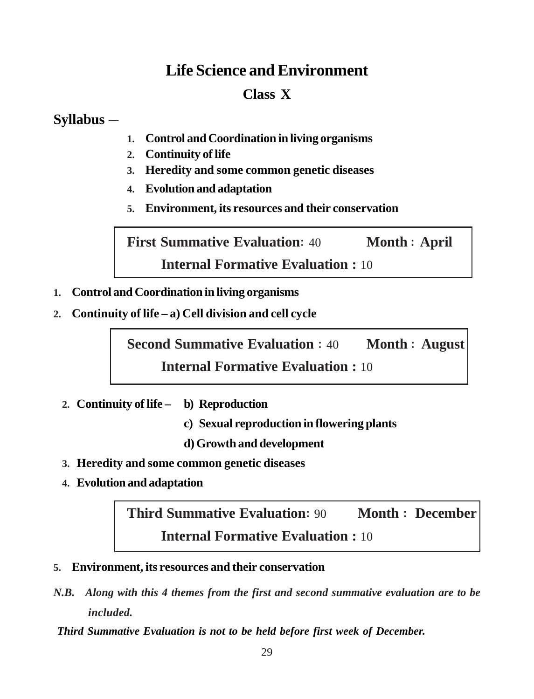# **Life Science and Environment**

#### **Class X**

#### **Syllabus** –

- **1. Control and Coordination in living organisms˚**
- **2. Continuity of life**
- **3. Heredity and some common genetic diseases**
- **4. Evolution and adaptation**
- **5. Environment, its resources and their conservation**

**First Summative Evaluation: 40 <b>Month : April Internal Formative Evaluation :** 10

- **1. Control and Coordination in living organisms˚**
- **2. Continuity of life a) Cell division and cell cycle**

**Second Summative Evaluation** : 40 **Month : August Internal Formative Evaluation :** 10

- **2. Continuity of life b) Reproduction**
	- **c) Sexual reproduction in flowering plants**

**d) Growth and development**

- **3. Heredity and some common genetic diseases**
- **4. Evolution and adaptation**

**Third Summative Evaluation: 90 <b>Month :** December **Internal Formative Evaluation :** 10

- **5. Environment, its resources and their conservation**
- *N.B. Along with this 4 themes from the first and second summative evaluation are to be included.*

 *Third Summative Evaluation is not to be held before first week of December.*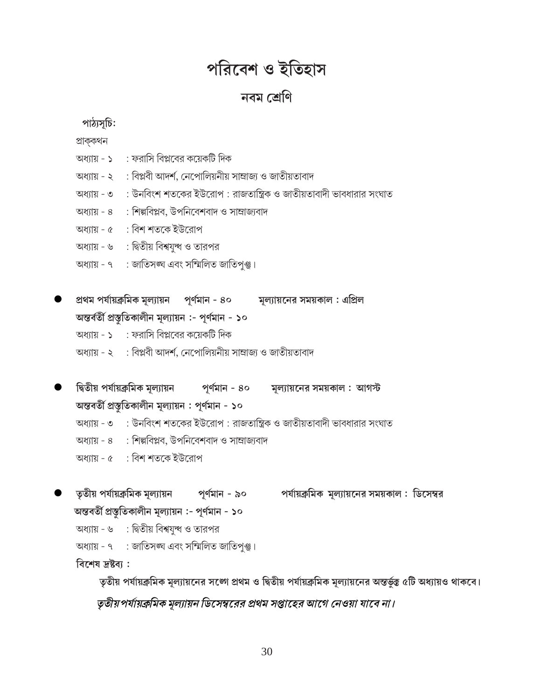# পরিবেশ ও ইতিহাস

#### নবম শ্রেণি

#### পাঠ্যসূচি:

প্ৰাক্কথন

- অধ্যায় ১ : ফরাসি বিপ্লবের কয়েকটি দিক
- অধ্যায় ২ : বিপ্লবী আদর্শ, নেপোলিয়নীয় সাম্রাজ্য ও জাতীয়তাবাদ
- অধ্যায় ৩ : উনবিংশ শতকের ইউরোপ : রাজতান্ত্রিক ও জাতীয়তাবাদী ভাবধারার সংঘাত
- অধ্যায় ৪ : শিল্পবিপ্লব, উপনিবেশবাদ ও সাম্রাজ্যবাদ
- অধ্যায় ৫ : বিশ শতকে ইউরোপ
- অধ্যায় ৬ : দ্বিতীয় বিশ্বযুষ্ধ ও তারপর
- অধ্যায় ৭ : জাতিসঙ্ঘ এবং সম্মিলিত জাতিপঞ্জ।

প্ৰথম পৰ্যায়ক্ৰমিক মূল্যায়ন পূর্ণমান - ৪০ স্বল্যায়নের সময়কাল : এপ্রিল অন্তর্বর্তী প্রস্তুতিকালীন মূল্যায়ন :- পূর্ণমান - ১০ অধ্যায় - ১ : ফরাসি বিপ্লবের কয়েকটি দিক অধ্যায় - ২ : বিপ্লবী আদর্শ, নেপোলিয়নীয় সাম্রাজ্য ও জাতীয়তাবাদ

দ্বিতীয় পৰ্যায়ক্ৰমিক মূল্যায়ন মূল্যায়নের সময়কাল : আগস্ট পূৰ্ণমান - ৪০ অন্তবৰ্তী প্ৰস্তুতিকালীন মূল্যায়ন : পূৰ্ণমান - ১০ অধ্যায় - ৩ : উনবিংশ শতকের ইউরোপ : রাজতান্ত্রিক ও জাতীয়তাবাদী ভাবধারার সংঘাত অধ্যায় - ৪ : শিল্পবিপ্লব, উপনিবেশবাদ ও সাম্রাজ্যবাদ

অধ্যায় - ৫ : বিশ শতকে ইউরোপ

তৃতীয় পর্যায়ক্রমিক মূল্যায়ন পূর্ণমান - ৯০ পর্যায়ক্রমিক মূল্যায়নের সময়কাল : ডিসেম্বর অন্তবৰ্তী প্ৰস্তুতিকালীন মূল্যায়ন :- পূৰ্ণমান - ১০ অধ্যায় - ৬ : দ্বিতীয় বিশ্বযুষ্ধ ও তারপর অধ্যায় - ৭ : জাতিসঙ্ঘ এবং সম্মিলিত জাতিপঞ্জ। বিশেষ দ্ৰষ্টব্য :

তৃতীয় পর্যায়ক্রমিক মূল্যায়নের সঙ্গে প্রথম ও দ্বিতীয় পর্যায়ক্রমিক মূল্যায়নের অন্তর্ভুক্ত ৫টি অধ্যায়ও থাকবে। তৃতীয়পর্যায়ক্রমিক মূল্যায়ন ডিসেম্বরের প্রথম সপ্তাহের আগে নেওয়া যাবে না।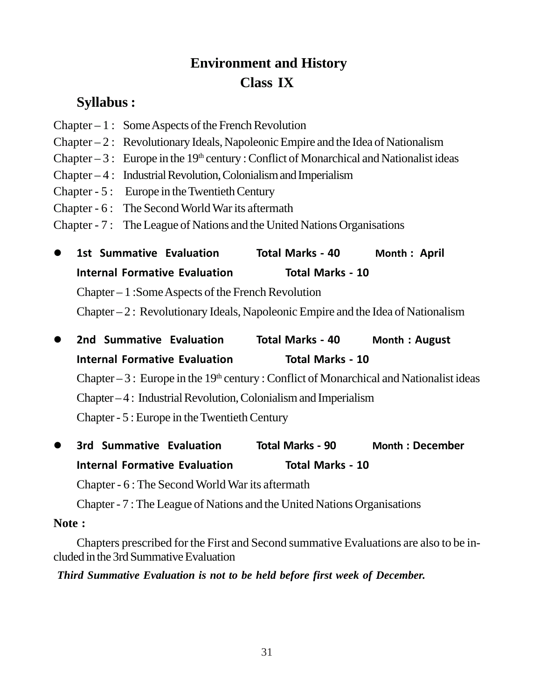# **Environment and History Class IX**

# **Syllabus :**

- $Chapter 1$ : Some Aspects of the French Revolution
- Chapter  $-2$ : Revolutionary Ideals, Napoleonic Empire and the Idea of Nationalism
- Chapter  $-3$ : Europe in the 19<sup>th</sup> century : Conflict of Monarchical and Nationalist ideas
- $Chapter 4$ : Industrial Revolution, Colonialism and Imperialism
- Chapter 5 : Europe in the Twentieth Century
- Chapter 6 : The Second World War its aftermath
- Chapter 7 : The League of Nations and the United Nations Organisations
- **1st Summative Evaluation Total Marks 40 Month : April Internal Formative Evaluation Total Marks - 10** Chapter – 1 :Some Aspects of the French Revolution Chapter – 2 : Revolutionary Ideals, Napoleonic Empire and the Idea of Nationalism
- **2nd Summative Evaluation Total Marks 40 Month : August Internal Formative Evaluation Total Marks - 10** Chapter  $-3$ : Europe in the 19<sup>th</sup> century : Conflict of Monarchical and Nationalist ideas Chapter – 4 : Industrial Revolution, Colonialism and Imperialism Chapter - 5 : Europe in the Twentieth Century
- **3rd Summative Evaluation Total Marks 90 Month : December Internal Formative Evaluation Total Marks - 10** Chapter - 6 : The Second World War its aftermath Chapter - 7 : The League of Nations and the United Nations Organisations

#### **Note :**

Chapters prescribed for the First and Second summative Evaluations are also to be included in the 3rd Summative Evaluation

 *Third Summative Evaluation is not to be held before first week of December.*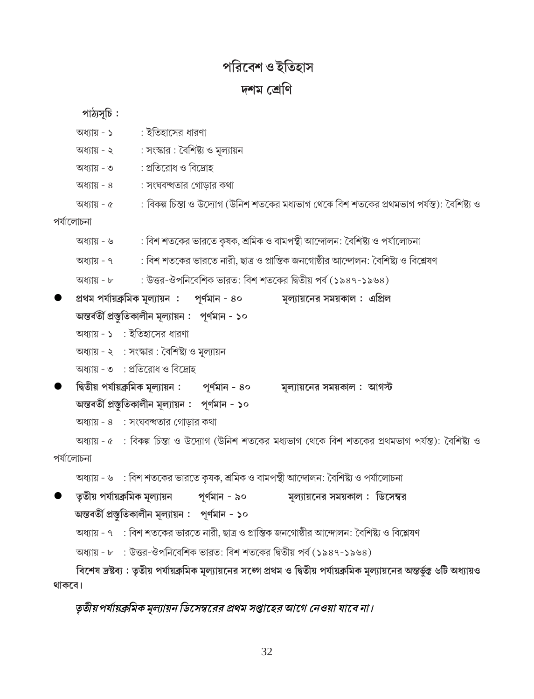# পরিবেশ ও ইতিহাস দশম শ্রেণি

পাঠ্যসূচি :

- : ইতিহাসের ধারণা অধ্যায় - ১
- : সংস্কার : বৈশিষ্ট্য ও মূল্যায়ন অধ্যায় - ২
- : প্রতিরোধ ও বিদ্রোহ অধ্যায় - ৩
- : সংঘবন্ধতার গোডার কথা অধ্যায় - ৪
- : বিকল্প চিন্তা ও উদ্যোগ (উনিশ শতকের মধ্যভাগ থেকে বিশ শতকের প্রথমভাগ পর্যন্ত): বৈশিষ্ট্য ও অধ্যায় - ৫

পৰ্যালোচনা

- : বিশ শতকের ভারতে কৃষক, শ্রমিক ও বামপন্থী আন্দোলন: বৈশিষ্ট্য ও পর্যালোচনা অধ্যায় - ৬
- : বিশ শতকের ভারতে নারী. ছাত্র ও প্রান্তিক জনগোষ্ঠীর আন্দোলন: বৈশিষ্ট্য ও বিশ্লেষণ অধ্যায় - ৭
- : উত্তর-ঔপনিবেশিক ভারত: বিশ শতকের দ্বিতীয় পর্ব (১৯৪৭-১৯৬৪) অধ্যায় - ৮

প্ৰথম পৰ্যায়ক্ৰমিক মূল্যায়ন : পূৰ্ণমান - ৪০ মূল্যায়নের সময়কাল : এপ্রিল

অন্তর্বর্তী প্রস্তুতিকালীন মূল্যায়ন : পূর্ণমান - ১০

- অধ্যায় ১ : ইতিহাসের ধারণা
- অধ্যায় ২ : সংস্কার : বৈশিষ্ট্য ও মূল্যায়ন

অধ্যায় - ৩ : প্রতিরোধ ও বিদ্রোহ

দ্বিতীয় পর্যায়ক্রমিক মূল্যায়ন : পুর্ণমান - ৪০ মুল্যায়নের সময়কাল : আগস্ট অন্তবৰ্তী প্ৰস্তুতিকালীন মূল্যায়ন : পূৰ্ণমান - ১০

অধ্যায় - ৪ : সংঘবম্বতার গোড়ার কথা

অধ্যায় - ৫ : বিকল্প চিন্তা ও উদ্যোগ (উনিশ শতকের মধ্যভাগ থেকে বিশ শতকের প্রথমভাগ পর্যন্ত): বৈশিষ্ট্য ও পৰ্যালোচনা

অধ্যায় - ৬ : বিশ শতকের ভারতে কৃষক, শ্রমিক ও বামপন্থী আন্দোলন: বৈশিষ্ট্য ও পর্যালোচনা

তৃতীয় পর্যায়ক্রমিক মূল্যায়ন পূর্ণমান - ৯০ মূল্যায়নের সময়কাল : ডিসেম্বর অন্তবৰ্তী প্ৰস্তুতিকালীন মূল্যায়ন : পূৰ্ণমান - ১০

অধ্যায় - ৭ : বিশ শতকের ভারতে নারী, ছাত্র ও প্রান্তিক জনগোষ্ঠীর আন্দোলন: বৈশিষ্ট্য ও বিশ্লেষণ

অধ্যায় - ৮ : উত্তর-ঔপনিবেশিক ভারত: বিশ শতকের দ্বিতীয় পর্ব (১৯৪৭-১৯৬৪)

বিশেষ দ্রষ্টব্য : তৃতীয় পর্যায়ক্রমিক মূল্যায়নের সঙ্গে প্রথম ও দ্বিতীয় পর্যায়ক্রমিক মূল্যায়নের অন্তর্ভুক্ত ৬টি অধ্যায়ও থাকবে।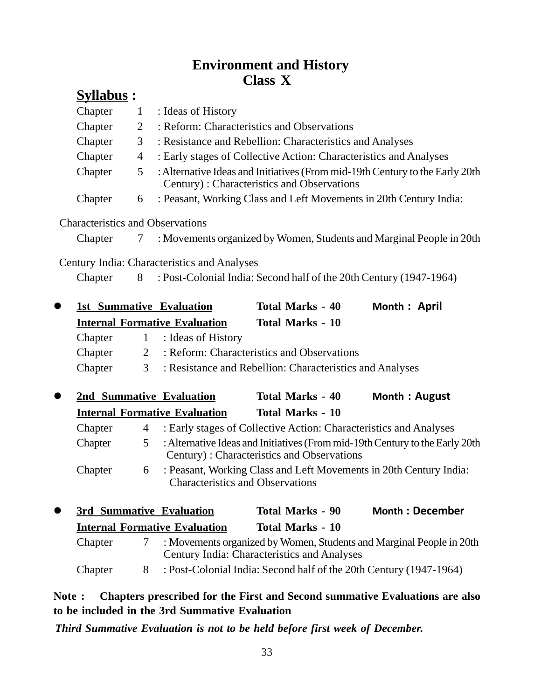#### **Environment and History Class X**

# **Syllabus :**

| Chapter |                | : Ideas of History                                                                                                         |
|---------|----------------|----------------------------------------------------------------------------------------------------------------------------|
| Chapter |                | : Reform: Characteristics and Observations                                                                                 |
| Chapter | 3              | : Resistance and Rebellion: Characteristics and Analyses                                                                   |
| Chapter | 4              | : Early stages of Collective Action: Characteristics and Analyses                                                          |
| Chapter | 5 <sup>1</sup> | : Alternative Ideas and Initiatives (From mid-19th Century to the Early 20th<br>Century): Characteristics and Observations |
| Chapter | 6              | : Peasant, Working Class and Left Movements in 20th Century India:                                                         |
|         |                |                                                                                                                            |

#### Characteristics and Observations

Chapter 7 : Movements organized by Women, Students and Marginal People in 20th

Century India: Characteristics and Analyses

Chapter 8 : Post-Colonial India: Second half of the 20th Century (1947-1964)

|         | 1st Summative Evaluation             | <b>Total Marks - 40</b>                                    | Month: April |  |
|---------|--------------------------------------|------------------------------------------------------------|--------------|--|
|         | <b>Internal Formative Evaluation</b> | Total Marks - 10                                           |              |  |
| Chapter | $1$ : Ideas of History               |                                                            |              |  |
| Chapter |                                      | 2 : Reform: Characteristics and Observations               |              |  |
| Chapter |                                      | 3 : Resistance and Rebellion: Characteristics and Analyses |              |  |

| $\bullet$ |   | 2nd Summative Evaluation             | <b>Total Marks - 40</b>                                                                                | Month: August                                                                |
|-----------|---|--------------------------------------|--------------------------------------------------------------------------------------------------------|------------------------------------------------------------------------------|
|           |   | <b>Internal Formative Evaluation</b> | Total Marks - 10                                                                                       |                                                                              |
| Chapter   |   |                                      | : Early stages of Collective Action: Characteristics and Analyses                                      |                                                                              |
| Chapter   |   |                                      | Century): Characteristics and Observations                                                             | : Alternative Ideas and Initiatives (From mid-19th Century to the Early 20th |
| Chapter   | 6 |                                      | : Peasant, Working Class and Left Movements in 20th Century India:<br>Characteristics and Observations |                                                                              |

| $\bullet$ | 3rd Summative Evaluation |                                      | <b>Total Marks - 90</b>                                                                                             | <b>Month: December</b> |
|-----------|--------------------------|--------------------------------------|---------------------------------------------------------------------------------------------------------------------|------------------------|
|           |                          | <b>Internal Formative Evaluation</b> | Total Marks - 10                                                                                                    |                        |
|           | Chapter                  |                                      | : Movements organized by Women, Students and Marginal People in 20th<br>Century India: Characteristics and Analyses |                        |
|           | Chapter                  |                                      | : Post-Colonial India: Second half of the 20th Century (1947-1964)                                                  |                        |

#### **Note : Chapters prescribed for the First and Second summative Evaluations are also to be included in the 3rd Summative Evaluation**

 *Third Summative Evaluation is not to be held before first week of December.*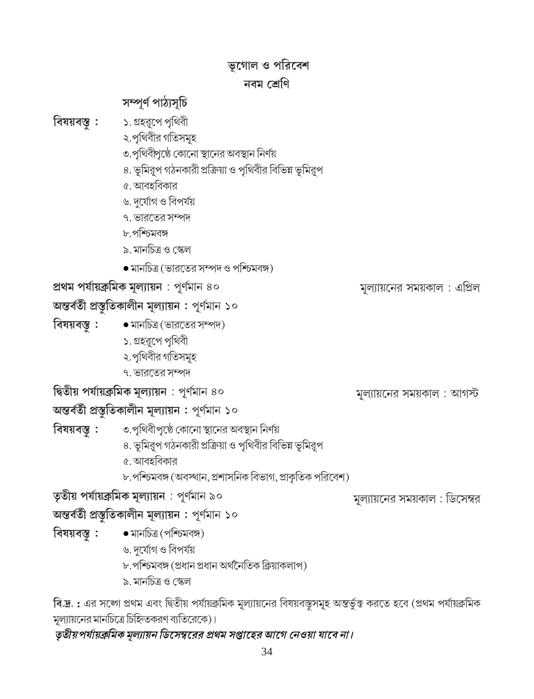তৃতীয়পর্যায়ক্রমিক মূল্যায়ন ডিসেম্বরের প্রথম সপ্তাহের আগে নেওয়া যাবে না।

বি.দ্র.: এর সঙ্গে প্রথম এবং দ্বিতীয় পর্যায়ক্রমিক মূল্যায়নের বিষয়বস্তুসমূহ অন্তর্ভুক্ত করতে হবে (প্রথম পর্যায়ক্রমিক

বিষয়বস্তু : • মানচিত্ৰ (পশ্চিমবঙ্গ)

৬. দৰ্যোগ ও বিপৰ্যয়

৯. মানচিত্ৰ ও স্কেল

মূল্যায়নের মানচিত্রে চিহ্নিতকরণ ব্যতিরেকে)।

- অন্তর্বর্তী প্রস্তৃতিকালীন মূল্যায়ন : পূর্ণমান ১০
- 
- 
- তৃতীয় পর্যায়ক্রমিক মূল্যায়ন $\pm$  পূর্ণমান ৯০
- 
- 
- ৮. পশ্চিমবঙ্গ (অবস্থান, প্রশাসনিক বিভাগ, প্রাকৃতিক পরিবেশ)
- ৫. আবহবিকার

৮.পশ্চিমবঙ্গ (প্ৰধান প্ৰধান অৰ্থনৈতিক ক্ৰিয়াকলাপ)

- ৪. ভূমিরূপ গঠনকারী প্রক্রিয়া ও পৃথিবীর বিভিন্ন ভূমিরূপ
- বিষয়বস্তু : ৩.পথিবীপৃষ্ঠে কোনো স্থানের অবস্থান নির্ণয়
- অন্তর্বর্তী প্রস্তৃতিকালীন মূল্যায়ন : পূর্ণমান ১০
- দ্বিতীয় পৰ্যায়ক্ৰমিক মূল্যায়ন : পূৰ্ণমান ৪০
- ৭. ভারতের সম্পদ
- ২.পৃথিবীর গতিসমূহ
- ১. গ্ৰহরূপে পৃথিবী
- বিষয়বস্তু :  $\bullet$  মানচিত্র (ভারতের সম্পদ)
- অন্তর্বর্তী প্রস্তুতিকালীন মূল্যায়ন : পূর্ণমান ১০
- প্ৰথম পৰ্যায়ক্ৰমিক মূল্যায়ন : পূৰ্ণমান ৪০

বিষয়বস্তৃ :

- মানচিত্র (ভারতের সম্পদ ও পশ্চিমবঙ্গ)
- ৯. মানচিত্ৰ ও স্কেল
- 
- ৮.পশ্চিমবঙ্গ
- ৭. ভারতের সম্পদ
- ৬. দৰ্যোগ ও বিপৰ্যয়
- ৫. আবহবিকার
- 
- ৪. ভূমিরূপ গঠনকারী প্রক্রিয়া ও পৃথিবীর বিভিন্ন ভূমিরূপ
- ৩.পৃথিবীপৃষ্ঠে কোনো স্থানের অবস্থান নির্ণয়
- ২.পৃথিবীর গতিসমূহ
- ১. গ্ৰহরূপে পৃথিবী
- সম্পূৰ্ণ পাঠ্যসূচি
- নবম শ্ৰেণি
- ভূগোল ও পরিবেশ

মূল্যায়নের সময়কাল : এপ্রিল

মূল্যায়নের সময়কাল : আগস্ট

মূল্যায়নের সময়কাল : ডিসেম্বর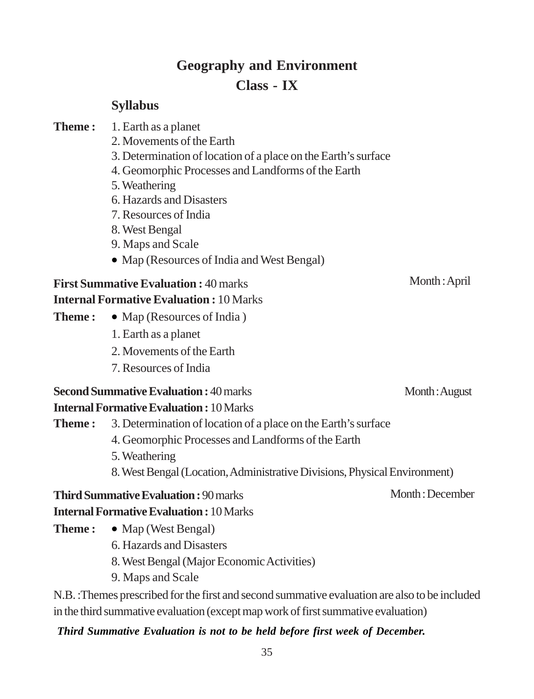# **Geography and Environment Class - IX**

#### **Syllabus**

- **Theme :** 1. Earth as a planet
	- 2. Movements of the Earth
	- 3. Determination of location of a place on the Earth's surface
	- 4. Geomorphic Processes and Landforms of the Earth
	- 5. Weathering
	- 6. Hazards and Disasters
	- 7. Resources of India
	- 8. West Bengal
	- 9. Maps and Scale
	- Map (Resources of India and West Bengal)

#### **First Summative Evaluation :** 40 marks **Internal Formative Evaluation :** 10 Marks

- **Theme :**  $\bullet$  Map (Resources of India)
	- 1. Earth as a planet
	- 2. Movements of the Earth
	- 7. Resources of India

# **Second Summative Evaluation :** 40 marks

### **Internal Formative Evaluation :** 10 Marks

- **Theme :** 3. Determination of location of a place on the Earth's surface
	- 4. Geomorphic Processes and Landforms of the Earth
	- 5. Weathering
	- 8. West Bengal (Location, Administrative Divisions, Physical Environment)

# **Third Summative Evaluation :** 90 marks

#### **Internal Formative Evaluation :** 10 Marks

- **Theme :**  $\bullet$  Map (West Bengal)
	- 6. Hazards and Disasters
	- 8. West Bengal (Major Economic Activities)
	- 9. Maps and Scale

N.B. :Themes prescribed for the first and second summative evaluation are also to be included in the third summative evaluation (except map work of first summative evaluation)

#### *Third Summative Evaluation is not to be held before first week of December.*

Month : April

Month : August

Month : December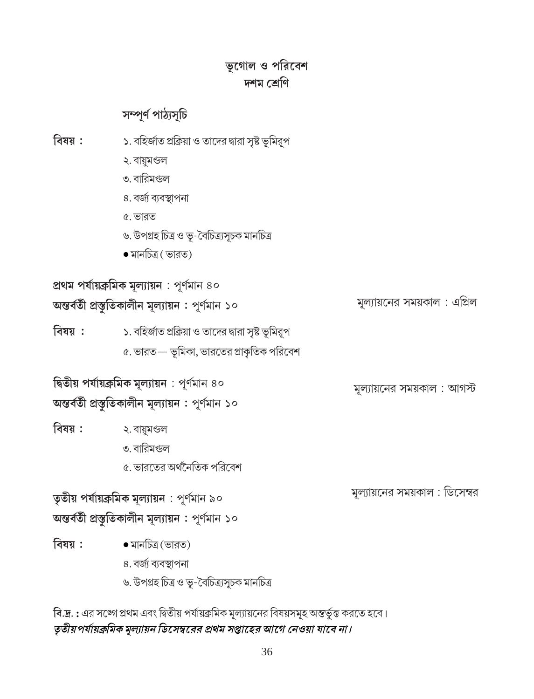#### ভূগোল ও পরিবেশ দশম শ্ৰেণি

#### সম্পূৰ্ণ পাঠ্যসূচি

- বিষয়: ১. বহির্জাত প্রক্রিয়া ও তাদের দ্বারা সৃষ্ট ভূমিরূপ
	- ২. বায়ুমণ্ডল
	- ৩. বারিমঙল
	- ৪. বর্জা বাবস্থাপনা
	- ৫. ভারত
	- ৬. উপগ্ৰহ চিত্ৰ ও ভূ-বৈচিত্ৰ্যসূচক মানচিত্ৰ
	- $\bullet$  মানচিত্ৰ ( ভারত)

প্ৰথম পৰ্যায়ক্ৰমিক মূল্যায়ন : পূৰ্ণমান ৪০ অন্তর্বর্তী প্রস্তুতিকালীন মূল্যায়ন : পূর্ণমান ১০

মূল্যায়নের সময়কাল : এপ্রিল

মল্যায়নের সময়কাল : আগস্ট

মূল্যায়নের সময়কাল : ডিসেম্বর

১. বহিৰ্জাত প্ৰক্ৰিয়া ও তাদের দ্বারা সৃষ্ট ভূমিরূপ বিষয়**:** ৫. ভারত — ভূমিকা, ভারতের প্রাকৃতিক পরিবেশ

দ্বিতীয় পর্যায়ক্রমিক মূল্যায়ন : পূর্ণমান ৪০ অন্তর্বর্তী প্রস্তৃতিকালীন মূল্যায়ন : পূর্ণমান ১০

বিষয় : ২. বায়ুমণ্ডল ৩. বারিমণ্ডল ৫. ভারতের অর্থনৈতিক পরিবেশ

তৃতীয় পর্যায়ক্রমিক মূল্যায়ন : পূর্ণমান ৯০ অন্তর্বর্তী প্রস্তৃতিকালীন মূল্যায়ন : পূর্ণমান ১০

- বিষয়**:**  $\bullet$  মানচিত্ৰ (ভারত)
	- ৪. বর্জা ব্যবস্থাপনা
	- ৬. উপগ্ৰহ চিত্ৰ ও ভূ-বৈচিত্ৰ্যসূচক মানচিত্ৰ

বি.দ্র.: এর সঙ্গে প্রথম এবং দ্বিতীয় পর্যায়ক্রমিক মূল্যায়নের বিষয়সমূহ অন্তর্ভুক্ত করতে হবে। তৃতীয়পর্যায়ক্রমিক মূল্যায়ন ডিসেম্বরের প্রথম সপ্তাহের আগে নেওয়া যাবে না।